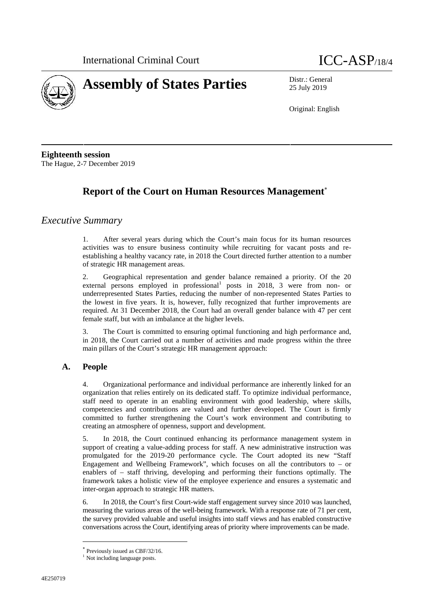



25 July 2019

Original: English

**Eighteenth session** The Hague, 2-7 December 2019

# **Report of the Court on Human Resources Management**

## *Executive Summary*

1. After several years during which the Court's main focus for its human resources activities was to ensure business continuity while recruiting for vacant posts and re establishing a healthy vacancy rate, in 2018 the Court directed further attention to a number of strategic HR management areas.

2. Geographical representation and gender balance remained a priority. Of the 20 external persons employed in professional<sup>1</sup> posts in 2018, 3 were from non- or underrepresented States Parties, reducing the number of non-represented States Parties to the lowest in five years. It is, however, fully recognized that further improvements are required. At 31 December 2018, the Court had an overall gender balance with 47 per cent female staff, but with an imbalance at the higher levels.

3. The Court is committed to ensuring optimal functioning and high performance and, in 2018, the Court carried out a number of activities and made progress within the three main pillars of the Court's strategic HR management approach:

## **A. People**

4. Organizational performance and individual performance are inherently linked for an organization that relies entirely on its dedicated staff. To optimize individual performance, staff need to operate in an enabling environment with good leadership, where skills, competencies and contributions are valued and further developed. The Court is firmly committed to further strengthening the Court's work environment and contributing to creating an atmosphere of openness, support and development.

5. In 2018, the Court continued enhancing its performance management system in support of creating a value-adding process for staff. A new administrative instruction was promulgated for the 2019-20 performance cycle. The Court adopted its new "Staff Engagement and Wellbeing Framework", which focuses on all the contributors to – or enablers of – staff thriving, developing and performing their functions optimally. The framework takes a holistic view of the employee experience and ensures a systematic and inter-organ approach to strategic HR matters.

6. In 2018, the Court's first Court-wide staff engagement survey since 2010 was launched, measuring the various areas of the well-being framework. With a response rate of 71 per cent, the survey provided valuable and useful insights into staff views and has enabled constructive conversations across the Court, identifying areas of priority where improvements can be made.

Previously issued as CBF/32/16.

<sup>&</sup>lt;sup>1</sup> Not including language posts.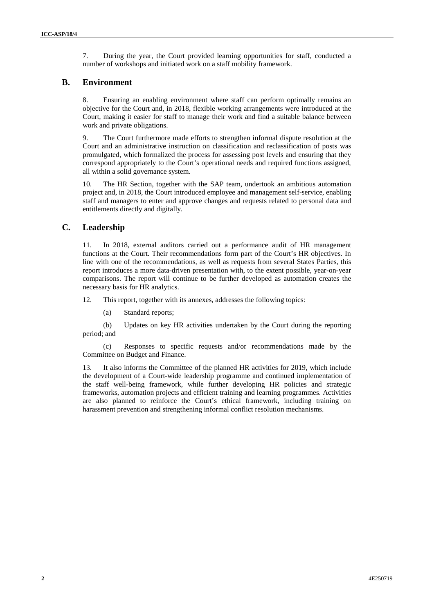7. During the year, the Court provided learning opportunities for staff, conducted a number of workshops and initiated work on a staff mobility framework.

### **B. Environment**

8. Ensuring an enabling environment where staff can perform optimally remains an objective for the Court and, in 2018, flexible working arrangements were introduced at the Court, making it easier for staff to manage their work and find a suitable balance between work and private obligations.

9. The Court furthermore made efforts to strengthen informal dispute resolution at the Court and an administrative instruction on classification and reclassification of posts was promulgated, which formalized the process for assessing post levels and ensuring that they correspond appropriately to the Court's operational needs and required functions assigned, all within a solid governance system.

10. The HR Section, together with the SAP team, undertook an ambitious automation project and, in 2018, the Court introduced employee and management self-service, enabling staff and managers to enter and approve changes and requests related to personal data and entitlements directly and digitally.

## **C. Leadership**

11. In 2018, external auditors carried out a performance audit of HR management functions at the Court. Their recommendations form part of the Court's HR objectives. In line with one of the recommendations, as well as requests from several States Parties, this report introduces a more data-driven presentation with, to the extent possible, year-on-year comparisons. The report will continue to be further developed as automation creates the necessary basis for HR analytics.

12. This report, together with its annexes, addresses the following topics:

(a) Standard reports;

(b) Updates on key HR activities undertaken by the Court during the reporting period; and

(c) Responses to specific requests and/or recommendations made by the Committee on Budget and Finance.

13. It also informs the Committee of the planned HR activities for 2019, which include the development of a Court-wide leadership programme and continued implementation of the staff well-being framework, while further developing HR policies and strategic frameworks, automation projects and efficient training and learning programmes. Activities are also planned to reinforce the Court's ethical framework, including training on harassment prevention and strengthening informal conflict resolution mechanisms.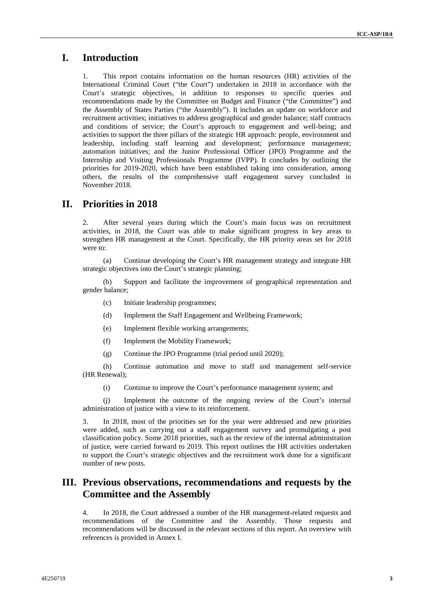# **I. Introduction**

1. This report contains information on the human resources (HR) activities of the International Criminal Court ("the Court") undertaken in 2018 in accordance with the Court's strategic objectives, in addition to responses to specific queries and recommendations made by the Committee on Budget and Finance ("the Committee") and the Assembly of States Parties ("the Assembly"). It includes an update on workforce and recruitment activities; initiatives to address geographical and gender balance; staff contracts and conditions of service; the Court's approach to engagement and well-being; and activities to support the three pillars of the strategic HR approach: people, environment and leadership, including staff learning and development; performance management; automation initiatives; and the Junior Professional Officer (JPO) Programme and the Internship and Visiting Professionals Programme (IVPP). It concludes by outlining the priorities for 2019-2020, which have been established taking into consideration, among others, the results of the comprehensive staff engagement survey concluded in November 2018.

## **II. Priorities in 2018**

2. After several years during which the Court's main focus was on recruitment activities, in 2018, the Court was able to make significant progress in key areas to strengthen HR management at the Court. Specifically, the HR priority areas set for 2018 were to:

(a) Continue developing the Court's HR management strategy and integrate HR strategic objectives into the Court's strategic planning;

(b) Support and facilitate the improvement of geographical representation and gender balance;

- (c) Initiate leadership programmes;
- (d) Implement the Staff Engagement and Wellbeing Framework;
- (e) Implement flexible working arrangements;
- (f) Implement the Mobility Framework;
- (g) Continue the JPO Programme (trial period until 2020);

(h) Continue automation and move to staff and management self-service (HR Renewal);

(i) Continue to improve the Court's performance management system; and

(j) Implement the outcome of the ongoing review of the Court's internal administration of justice with a view to its reinforcement.

3. In 2018, most of the priorities set for the year were addressed and new priorities were added, such as carrying out a staff engagement survey and promulgating a post classification policy. Some 2018 priorities, such as the review of the internal administration of justice, were carried forward to 2019. This report outlines the HR activities undertaken to support the Court's strategic objectives and the recruitment work done for a significant number of new posts.

## **III. Previous observations, recommendations and requests by the Committee and the Assembly**

4. In 2018, the Court addressed a number of the HR management-related requests and recommendations of the Committee and the Assembly. Those requests and recommendations will be discussed in the relevant sections of this report. An overview with references is provided in Annex I.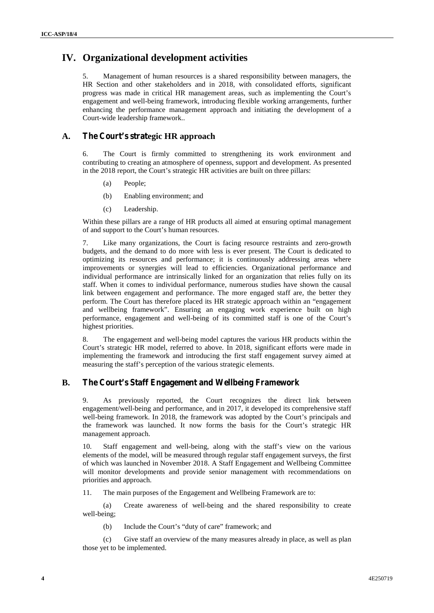# **IV. Organizational development activities**

Management of human resources is a shared responsibility between managers, the HR Section and other stakeholders and in 2018, with consolidated efforts, significant progress was made in critical HR management areas, such as implementing the Court's engagement and well-being framework, introducing flexible working arrangements, further enhancing the performance management approach and initiating the development of a Court-wide leadership framework..

### **A. The Court's strategic HR approach**

6. The Court is firmly committed to strengthening its work environment and contributing to creating an atmosphere of openness, support and development. As presented in the 2018 report, the Court's strategic HR activities are built on three pillars:

- (a) People;
- (b) Enabling environment; and
- (c) Leadership.

Within these pillars are a range of HR products all aimed at ensuring optimal management of and support to the Court's human resources.

7. Like many organizations, the Court is facing resource restraints and zero-growth budgets, and the demand to do more with less is ever present. The Court is dedicated to optimizing its resources and performance; it is continuously addressing areas where improvements or synergies will lead to efficiencies. Organizational performance and individual performance are intrinsically linked for an organization that relies fully on its staff. When it comes to individual performance, numerous studies have shown the causal link between engagement and performance. The more engaged staff are, the better they perform. The Court has therefore placed its HR strategic approach within an "engagement and wellbeing framework". Ensuring an engaging work experience built on high performance, engagement and well-being of its committed staff is one of the Court's highest priorities.

8. The engagement and well-being model captures the various HR products within the Court's strategic HR model, referred to above. In 2018, significant efforts were made in implementing the framework and introducing the first staff engagement survey aimed at measuring the staff's perception of the various strategic elements.

### **B. The Court's Staff Engagement and Wellbeing Framework**

9. As previously reported, the Court recognizes the direct link between engagement/well-being and performance, and in 2017, it developed its comprehensive staff well-being framework. In 2018, the framework was adopted by the Court's principals and the framework was launched. It now forms the basis for the Court's strategic HR management approach.

10. Staff engagement and well-being, along with the staff's view on the various elements of the model, will be measured through regular staff engagement surveys, the first of which was launched in November 2018. A Staff Engagement and Wellbeing Committee will monitor developments and provide senior management with recommendations on priorities and approach.

11. The main purposes of the Engagement and Wellbeing Framework are to:

(a) Create awareness of well-being and the shared responsibility to create well-being;

(b) Include the Court's "duty of care" framework; and

(c) Give staff an overview of the many measures already in place, as well as plan those yet to be implemented.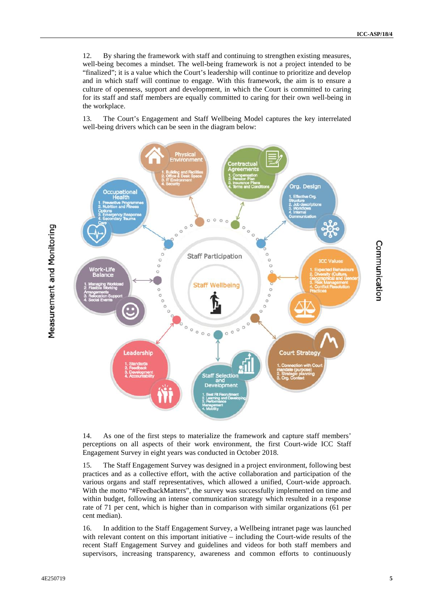12. By sharing the framework with staff and continuing to strengthen existing measures, well-being becomes a mindset. The well-being framework is not a project intended to be "finalized"; it is a value which the Court's leadership will continue to prioritize and develop and in which staff will continue to engage. With this framework, the aim is to ensure a culture of openness, support and development, in which the Court is committed to caring for its staff and staff members are equally committed to caring for their own well-being in the workplace.

13. The Court's Engagement and Staff Wellbeing Model captures the key interrelated well-being drivers which can be seen in the diagram below:



14. As one of the first steps to materialize the framework and capture staff members' perceptions on all aspects of their work environment, the first Court-wide ICC Staff Engagement Survey in eight years was conducted in October 2018.

15. The Staff Engagement Survey was designed in a project environment, following best practices and as a collective effort, with the active collaboration and participation of the various organs and staff representatives, which allowed a unified, Court-wide approach. With the motto "#FeedbackMatters", the survey was successfully implemented on time and within budget, following an intense communication strategy which resulted in a response rate of 71 per cent, which is higher than in comparison with similar organizations (61 per cent median).

16. In addition to the Staff Engagement Survey, a Wellbeing intranet page was launched with relevant content on this important initiative – including the Court-wide results of the recent Staff Engagement Survey and guidelines and videos for both staff members and supervisors, increasing transparency, awareness and common efforts to continuously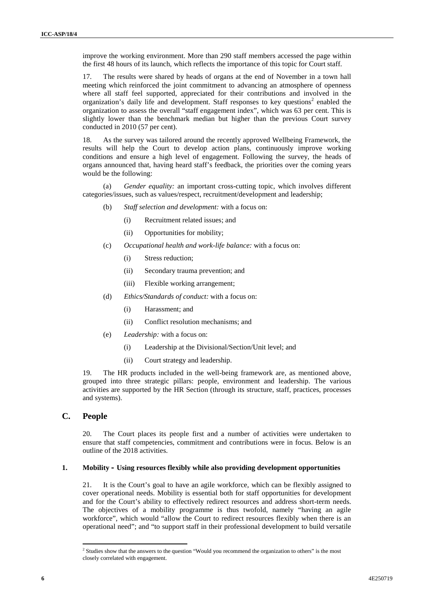improve the working environment. More than 290 staff members accessed the page within the first 48 hours of its launch, which reflects the importance of this topic for Court staff.

17. The results were shared by heads of organs at the end of November in a town hall meeting which reinforced the joint commitment to advancing an atmosphere of openness where all staff feel supported, appreciated for their contributions and involved in the organization's daily life and development. Staff responses to key questions<sup>2</sup> enabled the organization to assess the overall "staff engagement index", which was 63 per cent. This is slightly lower than the benchmark median but higher than the previous Court survey conducted in 2010 (57 per cent).

18. As the survey was tailored around the recently approved Wellbeing Framework, the results will help the Court to develop action plans, continuously improve working conditions and ensure a high level of engagement. Following the survey, the heads of organs announced that, having heard staff's feedback, the priorities over the coming years would be the following:

(a) *Gender equality:* an important cross-cutting topic, which involves different categories/issues, such as values/respect, recruitment/development and leadership;

- (b) *Staff selection and development:* with a focus on:
	- (i) Recruitment related issues; and
	- (ii) Opportunities for mobility;
- (c) *Occupational health and work-life balance:* with a focus on:
	- (i) Stress reduction;
	- (ii) Secondary trauma prevention; and
	- (iii) Flexible working arrangement;
- (d) *Ethics/Standards of conduct:* with a focus on:
	- (i) Harassment; and
	- (ii) Conflict resolution mechanisms; and
- (e) *Leadership:* with a focus on:
	- (i) Leadership at the Divisional/Section/Unit level; and
	- (ii) Court strategy and leadership.

19. The HR products included in the well-being framework are, as mentioned above, grouped into three strategic pillars: people, environment and leadership. The various activities are supported by the HR Section (through its structure, staff, practices, processes and systems).

### **C. People**

20. The Court places its people first and a number of activities were undertaken to ensure that staff competencies, commitment and contributions were in focus. Below is an outline of the 2018 activities.

### **1. Mobility – Using resources flexibly while also providing development opportunities**

21. It is the Court's goal to have an agile workforce, which can be flexibly assigned to cover operational needs. Mobility is essential both for staff opportunities for development and for the Court's ability to effectively redirect resources and address short-term needs. The objectives of a mobility programme is thus twofold, namely "having an agile workforce", which would "allow the Court to redirect resources flexibly when there is an operational need"; and "to support staff in their professional development to build versatile

<sup>&</sup>lt;sup>2</sup> Studies show that the answers to the question "Would you recommend the organization to others" is the most closely correlated with engagement.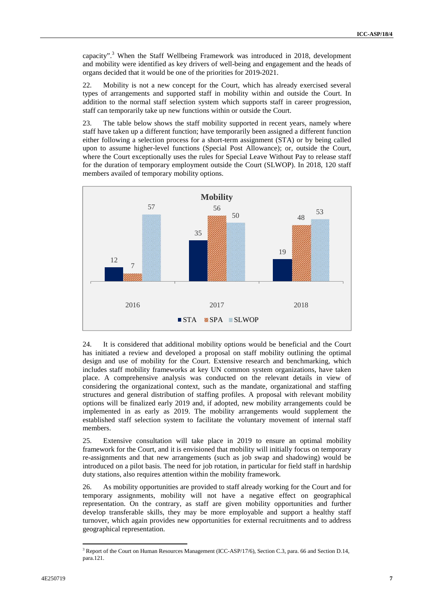capacity".<sup>3</sup> When the Staff Wellbeing Framework was introduced in 2018, development and mobility were identified as key drivers of well-being and engagement and the heads of organs decided that it would be one of the priorities for 2019-2021.

22. Mobility is not a new concept for the Court, which has already exercised several types of arrangements and supported staff in mobility within and outside the Court. In addition to the normal staff selection system which supports staff in career progression, staff can temporarily take up new functions within or outside the Court.

23. The table below shows the staff mobility supported in recent years, namely where staff have taken up a different function; have temporarily been assigned a different function either following a selection process for a short-term assignment (STA) or by being called upon to assume higher-level functions (Special Post Allowance); or, outside the Court, where the Court exceptionally uses the rules for Special Leave Without Pay to release staff for the duration of temporary employment outside the Court (SLWOP). In 2018, 120 staff members availed of temporary mobility options.



24. It is considered that additional mobility options would be beneficial and the Court has initiated a review and developed a proposal on staff mobility outlining the optimal design and use of mobility for the Court. Extensive research and benchmarking, which includes staff mobility frameworks at key UN common system organizations, have taken place. A comprehensive analysis was conducted on the relevant details in view of considering the organizational context, such as the mandate, organizational and staffing structures and general distribution of staffing profiles. A proposal with relevant mobility options will be finalized early 2019 and, if adopted, new mobility arrangements could be implemented in as early as 2019. The mobility arrangements would supplement the established staff selection system to facilitate the voluntary movement of internal staff members.

25. Extensive consultation will take place in 2019 to ensure an optimal mobility framework for the Court, and it is envisioned that mobility will initially focus on temporary re-assignments and that new arrangements (such as job swap and shadowing) would be introduced on a pilot basis. The need for job rotation, in particular for field staff in hardship duty stations, also requires attention within the mobility framework.

26. As mobility opportunities are provided to staff already working for the Court and for temporary assignments, mobility will not have a negative effect on geographical representation. On the contrary, as staff are given mobility opportunities and further develop transferable skills, they may be more employable and support a healthy staff turnover, which again provides new opportunities for external recruitments and to address geographical representation.

<sup>&</sup>lt;sup>3</sup> Report of the Court on Human Resources Management (ICC-ASP/17/6), Section C.3, para. 66 and Section D.14, para.121.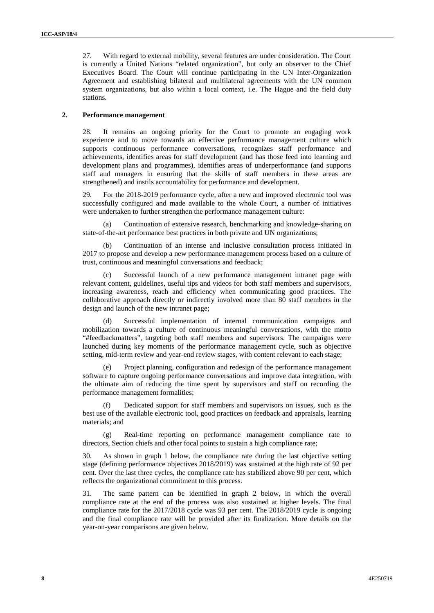27. With regard to external mobility, several features are under consideration. The Court is currently a United Nations "related organization", but only an observer to the Chief Executives Board. The Court will continue participating in the UN Inter-Organization Agreement and establishing bilateral and multilateral agreements with the UN common system organizations, but also within a local context, i.e. The Hague and the field duty stations.

### **2. Performance management**

28. It remains an ongoing priority for the Court to promote an engaging work experience and to move towards an effective performance management culture which supports continuous performance conversations, recognizes staff performance and achievements, identifies areas for staff development (and has those feed into learning and development plans and programmes), identifies areas of underperformance (and supports staff and managers in ensuring that the skills of staff members in these areas are strengthened) and instils accountability for performance and development.

29. For the 2018-2019 performance cycle, after a new and improved electronic tool was successfully configured and made available to the whole Court, a number of initiatives were undertaken to further strengthen the performance management culture:

Continuation of extensive research, benchmarking and knowledge-sharing on state-of-the-art performance best practices in both private and UN organizations;

(b) Continuation of an intense and inclusive consultation process initiated in 2017 to propose and develop a new performance management process based on a culture of trust, continuous and meaningful conversations and feedback;

Successful launch of a new performance management intranet page with relevant content, guidelines, useful tips and videos for both staff members and supervisors, increasing awareness, reach and efficiency when communicating good practices. The collaborative approach directly or indirectly involved more than 80 staff members in the design and launch of the new intranet page;

(d) Successful implementation of internal communication campaigns and mobilization towards a culture of continuous meaningful conversations, with the motto "#feedbackmatters", targeting both staff members and supervisors. The campaigns were launched during key moments of the performance management cycle, such as objective setting, mid-term review and year-end review stages, with content relevant to each stage;

Project planning, configuration and redesign of the performance management software to capture ongoing performance conversations and improve data integration, with the ultimate aim of reducing the time spent by supervisors and staff on recording the performance management formalities;

Dedicated support for staff members and supervisors on issues, such as the best use of the available electronic tool, good practices on feedback and appraisals, learning materials; and

(g) Real-time reporting on performance management compliance rate to directors, Section chiefs and other focal points to sustain a high compliance rate;

30. As shown in graph 1 below, the compliance rate during the last objective setting stage (defining performance objectives 2018/2019) was sustained at the high rate of 92 per cent. Over the last three cycles, the compliance rate has stabilized above 90 per cent, which reflects the organizational commitment to this process.

31. The same pattern can be identified in graph 2 below, in which the overall compliance rate at the end of the process was also sustained at higher levels. The final compliance rate for the 2017/2018 cycle was 93 per cent. The 2018/2019 cycle is ongoing and the final compliance rate will be provided after its finalization. More details on the year-on-year comparisons are given below.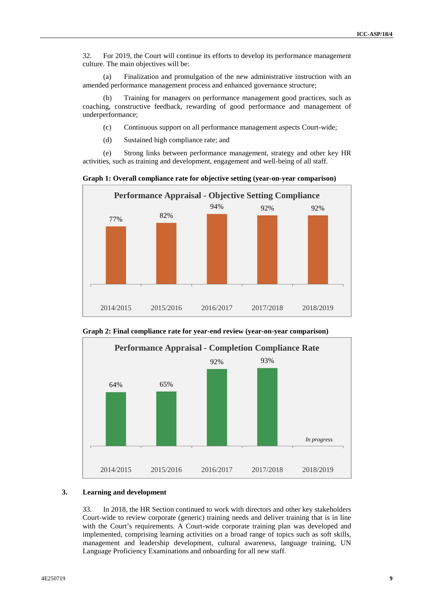32. For 2019, the Court will continue its efforts to develop its performance management culture. The main objectives will be:

(a) Finalization and promulgation of the new administrative instruction with an amended performance management process and enhanced governance structure;

(b) Training for managers on performance management good practices, such as coaching, constructive feedback, rewarding of good performance and management of underperformance;

- (c) Continuous support on all performance management aspects Court-wide;
- (d) Sustained high compliance rate; and

(e) Strong links between performance management, strategy and other key HR activities, such as training and development, engagement and well-being of all staff.

**Graph 1: Overall compliance rate for objective setting (year-on-year comparison)**



**Graph 2: Final compliance rate for year-end review (year-on-year comparison)**



### **3. Learning and development**

33. In 2018, the HR Section continued to work with directors and other key stakeholders Court-wide to review corporate (generic) training needs and deliver training that is in line with the Court's requirements. A Court-wide corporate training plan was developed and implemented, comprising learning activities on a broad range of topics such as soft skills, management and leadership development, cultural awareness, language training, UN Language Proficiency Examinations and onboarding for all new staff.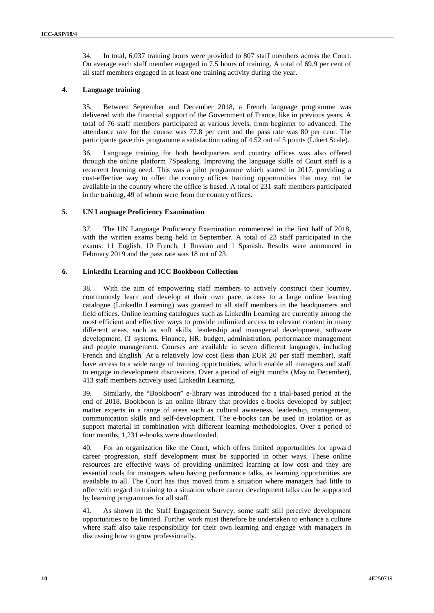34. In total, 6,037 training hours were provided to 807 staff members across the Court. On average each staff member engaged in 7.5 hours of training. A total of 69.9 per cent of all staff members engaged in at least one training activity during the year.

### **4. Language training**

35. Between September and December 2018, a French language programme was delivered with the financial support of the Government of France, like in previous years. A total of 76 staff members participated at various levels, from beginner to advanced. The attendance rate for the course was 77.8 per cent and the pass rate was 80 per cent. The participants gave this programme a satisfaction rating of 4.52 out of 5 points (Likert Scale).

36. Language training for both headquarters and country offices was also offered through the online platform 7Speaking. Improving the language skills of Court staff is a recurrent learning need. This was a pilot programme which started in 2017, providing a cost-effective way to offer the country offices training opportunities that may not be available in the country where the office is based. A total of 231 staff members participated in the training, 49 of whom were from the country offices.

### **5. UN Language Proficiency Examination**

37. The UN Language Proficiency Examination commenced in the first half of 2018, with the written exams being held in September. A total of 23 staff participated in the exams: 11 English, 10 French, 1 Russian and 1 Spanish. Results were announced in February 2019 and the pass rate was 18 out of 23.

### **6. LinkedIn Learning and ICC Bookboon Collection**

38. With the aim of empowering staff members to actively construct their journey, continuously learn and develop at their own pace, access to a large online learning catalogue (LinkedIn Learning) was granted to all staff members in the headquarters and field offices. Online learning catalogues such as LinkedIn Learning are currently among the most efficient and effective ways to provide unlimited access to relevant content in many different areas, such as soft skills, leadership and managerial development, software development, IT systems, Finance, HR, budget, administration, performance management and people management. Courses are available in seven different languages, including French and English. At a relatively low cost (less than EUR 20 per staff member), staff have access to a wide range of training opportunities, which enable all managers and staff to engage in development discussions. Over a period of eight months (May to December), 413 staff members actively used LinkedIn Learning.

39. Similarly, the "Bookboon" e-library was introduced for a trial-based period at the end of 2018. Bookboon is an online library that provides e-books developed by subject matter experts in a range of areas such as cultural awareness, leadership, management, communication skills and self-development. The e-books can be used in isolation or as support material in combination with different learning methodologies. Over a period of four months, 1,231 e-books were downloaded.

40. For an organization like the Court, which offers limited opportunities for upward career progression, staff development must be supported in other ways. These online resources are effective ways of providing unlimited learning at low cost and they are essential tools for managers when having performance talks, as learning opportunities are available to all. The Court has thus moved from a situation where managers had little to offer with regard to training to a situation where career development talks can be supported by learning programmes for all staff.

41. As shown in the Staff Engagement Survey, some staff still perceive development opportunities to be limited. Further work must therefore be undertaken to enhance a culture where staff also take responsibility for their own learning and engage with managers in discussing how to grow professionally.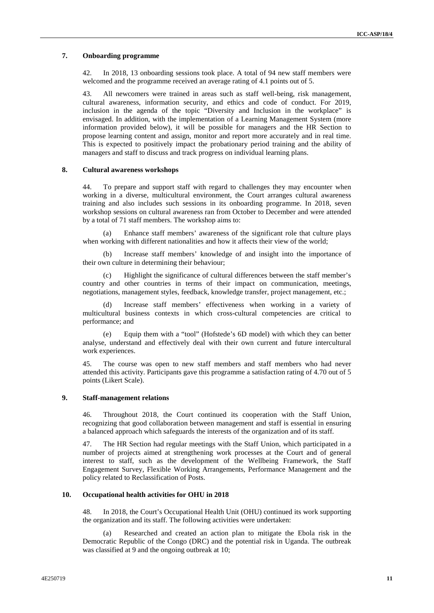### **7. Onboarding programme**

42. In 2018, 13 onboarding sessions took place. A total of 94 new staff members were welcomed and the programme received an average rating of 4.1 points out of 5.

43. All newcomers were trained in areas such as staff well-being, risk management, cultural awareness, information security, and ethics and code of conduct. For 2019, inclusion in the agenda of the topic "Diversity and Inclusion in the workplace" is envisaged. In addition, with the implementation of a Learning Management System (more information provided below), it will be possible for managers and the HR Section to propose learning content and assign, monitor and report more accurately and in real time. This is expected to positively impact the probationary period training and the ability of managers and staff to discuss and track progress on individual learning plans.

### **8. Cultural awareness workshops**

44. To prepare and support staff with regard to challenges they may encounter when working in a diverse, multicultural environment, the Court arranges cultural awareness training and also includes such sessions in its onboarding programme. In 2018, seven workshop sessions on cultural awareness ran from October to December and were attended by a total of 71 staff members. The workshop aims to:

(a) Enhance staff members' awareness of the significant role that culture plays when working with different nationalities and how it affects their view of the world;

(b) Increase staff members' knowledge of and insight into the importance of their own culture in determining their behaviour;

Highlight the significance of cultural differences between the staff member's country and other countries in terms of their impact on communication, meetings, negotiations, management styles, feedback, knowledge transfer, project management, etc.;

(d) Increase staff members' effectiveness when working in a variety of multicultural business contexts in which cross-cultural competencies are critical to performance; and

(e) Equip them with a "tool" (Hofstede's 6D model) with which they can better analyse, understand and effectively deal with their own current and future intercultural work experiences.

45. The course was open to new staff members and staff members who had never attended this activity. Participants gave this programme a satisfaction rating of 4.70 out of 5 points (Likert Scale).

### **9. Staff-management relations**

46. Throughout 2018, the Court continued its cooperation with the Staff Union, recognizing that good collaboration between management and staff is essential in ensuring a balanced approach which safeguards the interests of the organization and of its staff.

47. The HR Section had regular meetings with the Staff Union, which participated in a number of projects aimed at strengthening work processes at the Court and of general interest to staff, such as the development of the Wellbeing Framework, the Staff Engagement Survey, Flexible Working Arrangements, Performance Management and the policy related to Reclassification of Posts.

### **10. Occupational health activities for OHU in 2018**

48. In 2018, the Court's Occupational Health Unit (OHU) continued its work supporting the organization and its staff. The following activities were undertaken:

Researched and created an action plan to mitigate the Ebola risk in the Democratic Republic of the Congo (DRC) and the potential risk in Uganda. The outbreak was classified at 9 and the ongoing outbreak at 10;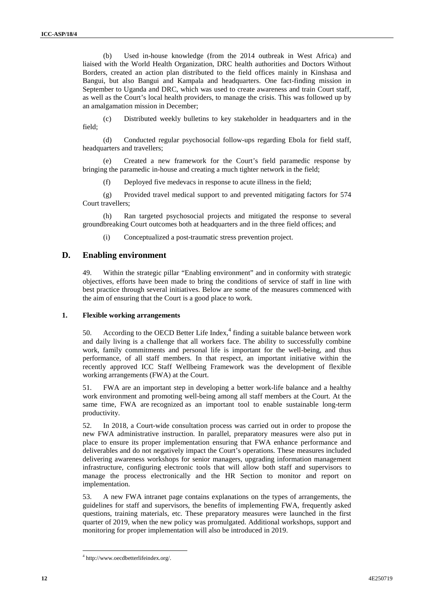(b) Used in-house knowledge (from the 2014 outbreak in West Africa) and liaised with the World Health Organization, DRC health authorities and Doctors Without Borders, created an action plan distributed to the field offices mainly in Kinshasa and Bangui, but also Bangui and Kampala and headquarters. One fact-finding mission in September to Uganda and DRC, which was used to create awareness and train Court staff, as well as the Court's local health providers, to manage the crisis. This was followed up by an amalgamation mission in December;

(c) Distributed weekly bulletins to key stakeholder in headquarters and in the field;

(d) Conducted regular psychosocial follow-ups regarding Ebola for field staff, headquarters and travellers;

(e) Created a new framework for the Court's field paramedic response by bringing the paramedic in-house and creating a much tighter network in the field;

(f) Deployed five medevacs in response to acute illness in the field;

(g) Provided travel medical support to and prevented mitigating factors for 574 Court travellers;

(h) Ran targeted psychosocial projects and mitigated the response to several groundbreaking Court outcomes both at headquarters and in the three field offices; and

(i) Conceptualized a post-traumatic stress prevention project.

### **D. Enabling environment**

49. Within the strategic pillar "Enabling environment" and in conformity with strategic objectives, efforts have been made to bring the conditions of service of staff in line with best practice through several initiatives. Below are some of the measures commenced with the aim of ensuring that the Court is a good place to work.

### **1. Flexible working arrangements**

50. According to the OECD Better Life Index, $4$  finding a suitable balance between work and daily living is a challenge that all workers face. The ability to successfully combine work, family commitments and personal life is important for the well-being, and thus performance, of all staff members. In that respect, an important initiative within the recently approved ICC Staff Wellbeing Framework was the development of flexible working arrangements (FWA) at the Court.

51. FWA are an important step in developing a better work-life balance and a healthy work environment and promoting well-being among all staff members at the Court. At the same time, FWA are recognized as an important tool to enable sustainable long-term productivity.

52. In 2018, a Court-wide consultation process was carried outin order to propose the new FWA administrative instruction. In parallel, preparatory measures were also put in place to ensure its proper implementation ensuring that FWA enhance performance and deliverables and do not negatively impact the Court's operations. These measures included delivering awareness workshops for senior managers, upgrading information management infrastructure, configuring electronic tools that will allow both staff and supervisors to manage the process electronically and the HR Section to monitor and report on implementation.

53. A new FWA intranet page contains explanations on the types of arrangements, the guidelines for staff and supervisors, the benefits of implementing FWA, frequently asked questions, training materials, etc. These preparatory measures were launched in the first quarter of 2019, when the new policy was promulgated. Additional workshops, support and monitoring for proper implementation will also be introduced in 2019.

<sup>4</sup> http://www.oecdbetterlifeindex.org/.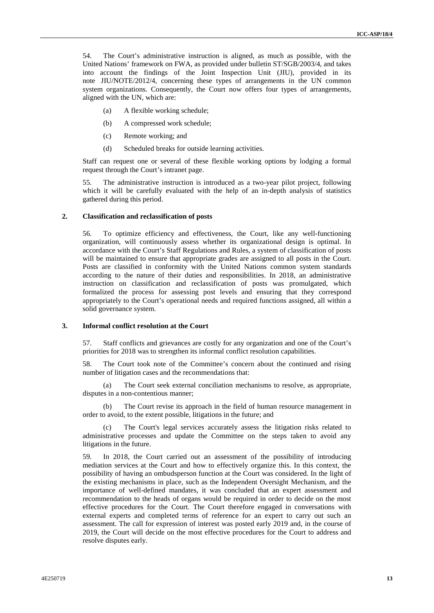54. The Court's administrative instruction is aligned, as much as possible, with the United Nations' framework on FWA, as provided under bulletin ST/SGB/2003/4, and takes into account the findings of the Joint Inspection Unit (JIU), provided in its note JIU/NOTE/2012/4, concerning these types of arrangements in the UN common system organizations. Consequently, the Court now offers four types of arrangements, aligned with the UN, which are:

- (a) A flexible working schedule;
- (b) A compressed work schedule;
- (c) Remote working; and
- (d) Scheduled breaks for outside learning activities.

Staff can request one or several of these flexible working options by lodging a formal request through the Court's intranet page.

55. The administrative instruction is introduced as a two-year pilot project, following which it will be carefully evaluated with the help of an in-depth analysis of statistics gathered during this period.

#### **2. Classification and reclassification of posts**

56. To optimize efficiency and effectiveness, the Court, like any well-functioning organization, will continuously assess whether its organizational design is optimal. In accordance with the Court's Staff Regulations and Rules, a system of classification of posts will be maintained to ensure that appropriate grades are assigned to all posts in the Court. Posts are classified in conformity with the United Nations common system standards according to the nature of their duties and responsibilities. In 2018, an administrative instruction on classification and reclassification of posts was promulgated, which formalized the process for assessing post levels and ensuring that they correspond appropriately to the Court's operational needs and required functions assigned, all within a solid governance system.

### **3. Informal conflict resolution at the Court**

57. Staff conflicts and grievances are costly for any organization and one of the Court's priorities for 2018 was to strengthen its informal conflict resolution capabilities.

58. The Court took note of the Committee's concern about the continued and rising number of litigation cases and the recommendations that:

(a) The Court seek external conciliation mechanisms to resolve, as appropriate, disputes in a non-contentious manner;

The Court revise its approach in the field of human resource management in order to avoid, to the extent possible, litigations in the future; and

(c) The Court's legal services accurately assess the litigation risks related to administrative processes and update the Committee on the steps taken to avoid any litigations in the future.

59. In 2018, the Court carried out an assessment of the possibility of introducing mediation services at the Court and how to effectively organize this. In this context, the possibility of having an ombudsperson function at the Court was considered. In the light of the existing mechanisms in place, such as the Independent Oversight Mechanism, and the importance of well-defined mandates, it was concluded that an expert assessment and recommendation to the heads of organs would be required in order to decide on the most effective procedures for the Court. The Court therefore engaged in conversations with external experts and completed terms of reference for an expert to carry out such an assessment. The call for expression of interest was posted early 2019 and, in the course of 2019, the Court will decide on the most effective procedures for the Court to address and resolve disputes early.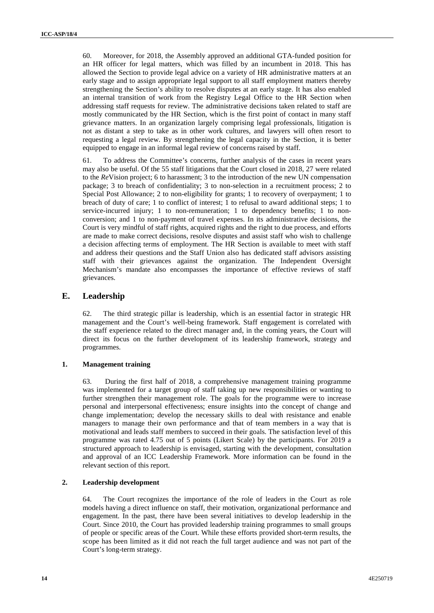60. Moreover, for 2018, the Assembly approved an additional GTA-funded position for an HR officer for legal matters, which was filled by an incumbent in 2018. This has allowed the Section to provide legal advice on a variety of HR administrative matters at an early stage and to assign appropriate legal support to all staff employment matters thereby strengthening the Section's ability to resolve disputes at an early stage. It has also enabled an internal transition of work from the Registry Legal Office to the HR Section when addressing staff requests for review. The administrative decisions taken related to staff are mostly communicated by the HR Section, which is the first point of contact in many staff grievance matters. In an organization largely comprising legal professionals, litigation is not as distant a step to take as in other work cultures, and lawyers will often resort to requesting a legal review. By strengthening the legal capacity in the Section, it is better equipped to engage in an informal legal review of concerns raised by staff.

61. To address the Committee's concerns, further analysis of the cases in recent years may also be useful. Of the 55 staff litigations that the Court closed in 2018, 27 were related to the *Re*Vision project; 6 to harassment; 3 to the introduction of the new UN compensation package; 3 to breach of confidentiality; 3 to non-selection in a recruitment process; 2 to Special Post Allowance; 2 to non-eligibility for grants; 1 to recovery of overpayment; 1 to breach of duty of care; 1 to conflict of interest; 1 to refusal to award additional steps; 1 to service-incurred injury; 1 to non-remuneration; 1 to dependency benefits; 1 to non conversion; and 1 to non-payment of travel expenses. In its administrative decisions, the Court is very mindful of staff rights, acquired rights and the right to due process, and efforts are made to make correct decisions, resolve disputes and assist staff who wish to challenge a decision affecting terms of employment. The HR Section is available to meet with staff and address their questions and the Staff Union also has dedicated staff advisors assisting staff with their grievances against the organization. The Independent Oversight Mechanism's mandate also encompasses the importance of effective reviews of staff grievances.

### **E. Leadership**

62. The third strategic pillar is leadership, which is an essential factor in strategic HR management and the Court's well-being framework. Staff engagement is correlated with the staff experience related to the direct manager and, in the coming years, the Court will direct its focus on the further development of its leadership framework, strategy and programmes.

### **1. Management training**

63. During the first half of 2018, a comprehensive management training programme was implemented for a target group of staff taking up new responsibilities or wanting to further strengthen their management role. The goals for the programme were to increase personal and interpersonal effectiveness; ensure insights into the concept of change and change implementation; develop the necessary skills to deal with resistance and enable managers to manage their own performance and that of team members in a way that is motivational and leads staff members to succeed in their goals. The satisfaction level of this programme was rated 4.75 out of 5 points (Likert Scale) by the participants. For 2019 a structured approach to leadership is envisaged, starting with the development, consultation and approval of an ICC Leadership Framework. More information can be found in the relevant section of this report.

### **2. Leadership development**

64. The Court recognizes the importance of the role of leaders in the Court as role models having a direct influence on staff, their motivation, organizational performance and engagement. In the past, there have been several initiatives to develop leadership in the Court. Since 2010, the Court has provided leadership training programmes to small groups of people or specific areas of the Court. While these efforts provided short-term results, the scope has been limited as it did not reach the full target audience and was not part of the Court's long-term strategy.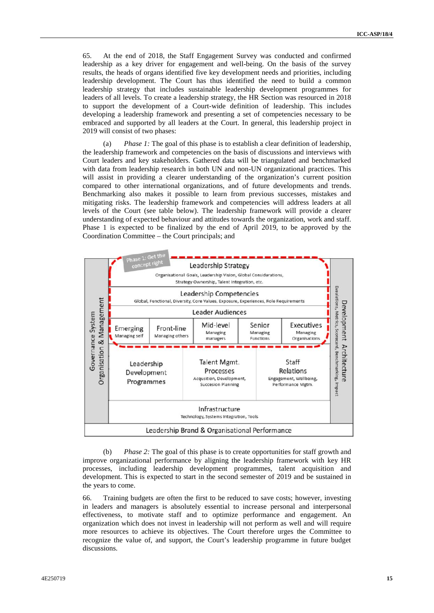65. At the end of 2018, the Staff Engagement Survey was conducted and confirmed leadership as a key driver for engagement and well-being. On the basis of the survey results, the heads of organs identified five key development needs and priorities, including leadership development. The Court has thus identified the need to build a common leadership strategy that includes sustainable leadership development programmes for leaders of all levels. To create a leadership strategy, the HR Section was resourced in 2018 to support the development of a Court-wide definition of leadership. This includes developing a leadership framework and presenting a set of competencies necessary to be embraced and supported by all leaders at the Court. In general, this leadership project in 2019 will consist of two phases:

(a) *Phase 1:* The goal of this phase is to establish a clear definition of leadership, the leadership framework and competencies on the basis of discussions and interviews with Court leaders and key stakeholders. Gathered data will be triangulated and benchmarked with data from leadership research in both UN and non-UN organizational practices. This will assist in providing a clearer understanding of the organization's current position compared to other international organizations, and of future developments and trends. Benchmarking also makes it possible to learn from previous successes, mistakes and mitigating risks. The leadership framework and competencies will address leaders at all levels of the Court (see table below). The leadership framework will provide a clearer understanding of expected behaviour and attitudes towards the organization, work and staff. Phase 1 is expected to be finalized by the end of April 2019, to be approved by the Coordination Committee – the Court principals; and



(b) *Phase 2:* The goal of this phase is to create opportunities for staff growth and improve organizational performance by aligning the leadership framework with key HR processes, including leadership development programmes, talent acquisition and development. This is expected to start in the second semester of 2019 and be sustained in the years to come.

66. Training budgets are often the first to be reduced to save costs; however, investing in leaders and managers is absolutely essential to increase personal and interpersonal effectiveness, to motivate staff and to optimize performance and engagement. An organization which does not invest in leadership will not perform as well and will require more resources to achieve its objectives. The Court therefore urges the Committee to recognize the value of, and support, the Court's leadership programme in future budget discussions.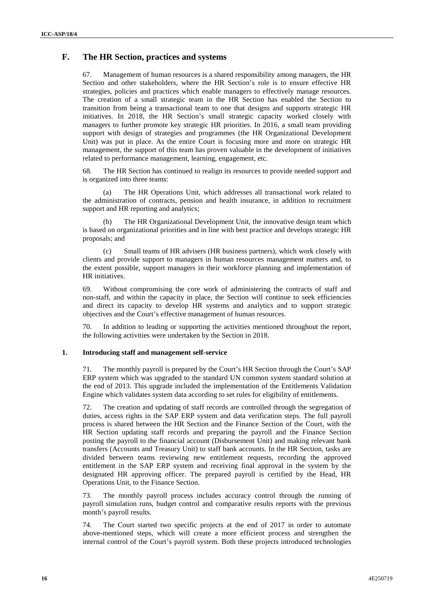## **F. The HR Section, practices and systems**

67. Management of human resources is a shared responsibility among managers, the HR Section and other stakeholders, where the HR Section's role is to ensure effective HR strategies, policies and practices which enable managers to effectively manage resources. The creation of a small strategic team in the HR Section has enabled the Section to transition from being a transactional team to one that designs and supports strategic HR initiatives. In 2018, the HR Section's small strategic capacity worked closely with managers to further promote key strategic HR priorities. In 2016, a small team providing support with design of strategies and programmes (the HR Organizational Development Unit) was put in place. As the entire Court is focusing more and more on strategic HR management, the support of this team has proven valuable in the development of initiatives related to performance management, learning, engagement, etc.

68. The HR Section has continued to realign its resources to provide needed support and is organized into three teams:

(a) The HR Operations Unit, which addresses all transactional work related to the administration of contracts, pension and health insurance, in addition to recruitment support and HR reporting and analytics;

(b) The HR Organizational Development Unit, the innovative design team which is based on organizational priorities and in line with best practice and develops strategic HR proposals; and

(c) Small teams of HR advisers (HR business partners), which work closely with clients and provide support to managers in human resources management matters and, to the extent possible, support managers in their workforce planning and implementation of HR initiatives.

69. Without compromising the core work of administering the contracts of staff and non-staff, and within the capacity in place, the Section will continue to seek efficiencies and direct its capacity to develop HR systems and analytics and to support strategic objectives and the Court's effective management of human resources.

In addition to leading or supporting the activities mentioned throughout the report, the following activities were undertaken by the Section in 2018.

### **1. Introducing staff and management self-service**

71. The monthly payroll is prepared by the Court's HR Section through the Court's SAP ERP system which was upgraded to the standard UN common system standard solution at the end of 2013. This upgrade included the implementation of the Entitlements Validation Engine which validates system data according to set rules for eligibility of entitlements.

72. The creation and updating of staff records are controlled through the segregation of duties, access rights in the SAP ERP system and data verification steps. The full payroll process is shared between the HR Section and the Finance Section of the Court, with the HR Section updating staff records and preparing the payroll and the Finance Section posting the payroll to the financial account (Disbursement Unit) and making relevant bank transfers (Accounts and Treasury Unit) to staff bank accounts. In the HR Section, tasks are divided between teams reviewing new entitlement requests, recording the approved entitlement in the SAP ERP system and receiving final approval in the system by the designated HR approving officer. The prepared payroll is certified by the Head, HR Operations Unit, to the Finance Section.

73. The monthly payroll process includes accuracy control through the running of payroll simulation runs, budget control and comparative results reports with the previous month's payroll results.

74. The Court started two specific projects at the end of 2017 in order to automate above-mentioned steps, which will create a more efficient process and strengthen the internal control of the Court's payroll system. Both these projects introduced technologies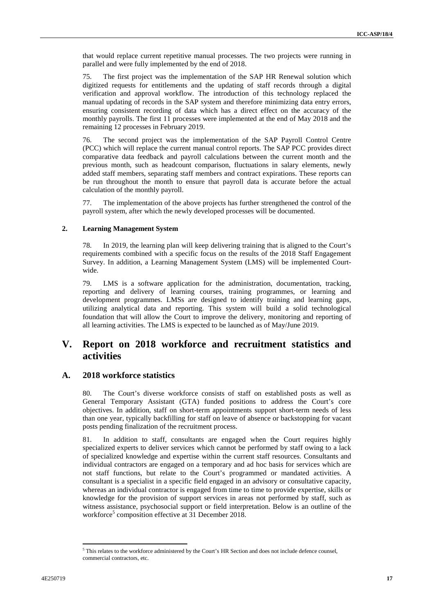that would replace current repetitive manual processes. The two projects were running in parallel and were fully implemented by the end of 2018.

75. The first project was the implementation of the SAP HR Renewal solution which digitized requests for entitlements and the updating of staff records through a digital verification and approval workflow. The introduction of this technology replaced the manual updating of records in the SAP system and therefore minimizing data entry errors, ensuring consistent recording of data which has a direct effect on the accuracy of the monthly payrolls. The first 11 processes were implemented at the end of May 2018 and the remaining 12 processes in February 2019.

76. The second project was the implementation of the SAP Payroll Control Centre (PCC) which will replace the current manual control reports. The SAP PCC provides direct comparative data feedback and payroll calculations between the current month and the previous month, such as headcount comparison, fluctuations in salary elements, newly added staff members, separating staff members and contract expirations. These reports can be run throughout the month to ensure that payroll data is accurate before the actual calculation of the monthly payroll.

77. The implementation of the above projects has further strengthened the control of the payroll system, after which the newly developed processes will be documented.

### **2. Learning Management System**

78. In 2019, the learning plan will keep delivering training that is aligned to the Court's requirements combined with a specific focus on the results of the 2018 Staff Engagement Survey. In addition, a Learning Management System (LMS) will be implemented Court wide.

79. LMS is a software application for the administration, documentation, tracking, reporting and delivery of learning courses, training programmes, or learning and development programmes. LMSs are designed to identify training and learning gaps, utilizing analytical data and reporting. This system will build a solid technological foundation that will allow the Court to improve the delivery, monitoring and reporting of all learning activities. The LMS is expected to be launched as of May/June 2019.

# **V. Report on 2018 workforce and recruitment statistics and activities**

### **A. 2018 workforce statistics**

80. The Court's diverse workforce consists of staff on established posts as well as General Temporary Assistant (GTA) funded positions to address the Court's core objectives. In addition, staff on short-term appointments support short-term needs of less than one year, typically backfilling for staff on leave of absence or backstopping for vacant posts pending finalization of the recruitment process.

81. In addition to staff, consultants are engaged when the Court requires highly specialized experts to deliver services which cannot be performed by staff owing to a lack of specialized knowledge and expertise within the current staff resources. Consultants and individual contractors are engaged on a temporary and ad hoc basis for services which are not staff functions, but relate to the Court's programmed or mandated activities. A consultant is a specialist in a specific field engaged in an advisory or consultative capacity, whereas an individual contractor is engaged from time to time to provide expertise, skills or knowledge for the provision of support services in areas not performed by staff, such as witness assistance, psychosocial support or field interpretation. Below is an outline of the workforce<sup>5</sup> composition effective at 31 December 2018.

<sup>&</sup>lt;sup>5</sup> This relates to the workforce administered by the Court's HR Section and does not include defence counsel, commercial contractors, etc.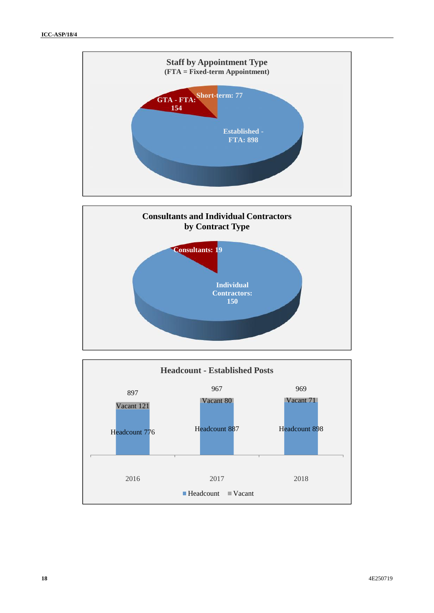



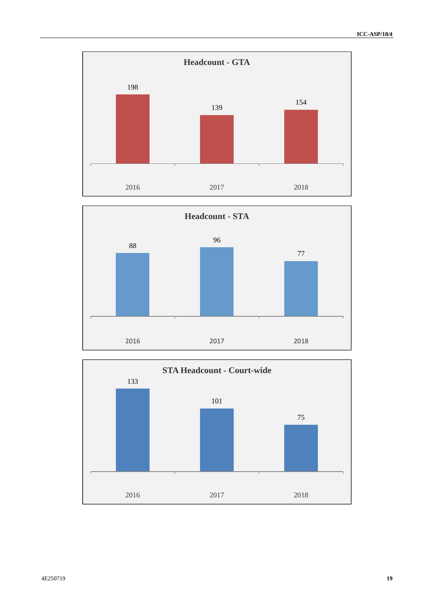



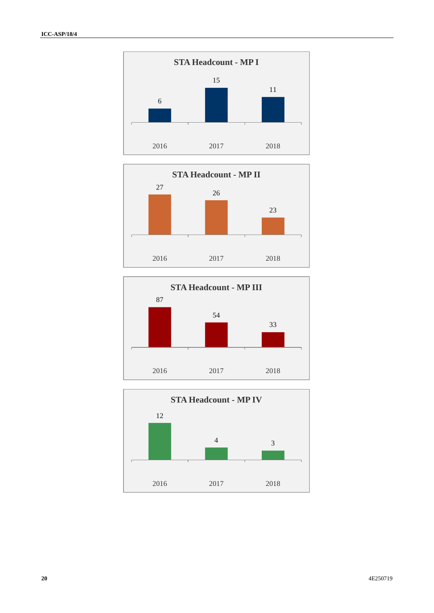





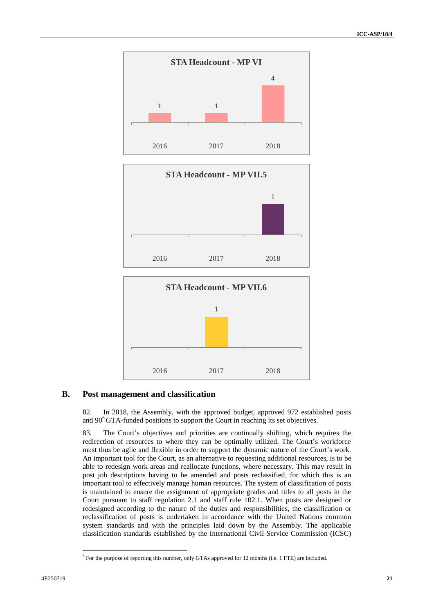





### **B. Post management and classification**

82. In 2018, the Assembly, with the approved budget, approved 972 established posts and  $90^6$  GTA-funded positions to support the Court in reaching its set objectives.

83. The Court's objectives and priorities are continually shifting, which requires the redirection of resources to where they can be optimally utilized. The Court's workforce must thus be agile and flexible in order to support the dynamic nature of the Court's work. An important tool for the Court, as an alternative to requesting additional resources, is to be able to redesign work areas and reallocate functions, where necessary. This may result in post job descriptions having to be amended and posts reclassified, for which this is an important tool to effectively manage human resources. The system of classification of posts is maintained to ensure the assignment of appropriate grades and titles to all posts in the Court pursuant to staff regulation 2.1 and staff rule 102.1. When posts are designed or redesigned according to the nature of the duties and responsibilities, the classification or reclassification of posts is undertaken in accordance with the United Nations common system standards and with the principles laid down by the Assembly. The applicable classification standards established by the International Civil Service Commission (ICSC)

<sup>&</sup>lt;sup>6</sup> For the purpose of reporting this number, only GTAs approved for 12 months (i.e. 1 FTE) are included.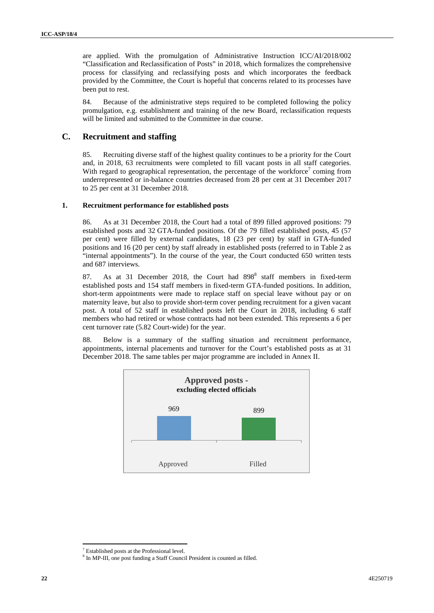are applied. With the promulgation of Administrative Instruction ICC/AI/2018/002 "Classification and Reclassification of Posts" in 2018, which formalizes the comprehensive process for classifying and reclassifying posts and which incorporates the feedback provided by the Committee, the Court is hopeful that concerns related to its processes have been put to rest.

84. Because of the administrative steps required to be completed following the policy promulgation, e.g. establishment and training of the new Board, reclassification requests will be limited and submitted to the Committee in due course.

### **C. Recruitment and staffing**

85. Recruiting diverse staff of the highest quality continues to be a priority for the Court and, in 2018, 63 recruitments were completed to fill vacant posts in all staff categories. With regard to geographical representation, the percentage of the workforce<sup>7</sup> coming from underrepresented or in-balance countries decreased from 28 per cent at 31 December 2017 to 25 per cent at 31 December 2018.

### **1. Recruitment performance for established posts**

86. As at 31 December 2018, the Court had a total of 899 filled approved positions: 79 established posts and 32 GTA-funded positions. Of the 79 filled established posts, 45 (57 per cent) were filled by external candidates, 18 (23 per cent) by staff in GTA-funded positions and 16 (20 per cent) by staff already in established posts (referred to in Table 2 as "internal appointments"). In the course of the year, the Court conducted 650 written tests and 687 interviews.

87. As at 31 December 2018, the Court had 898<sup>8</sup> staff members in fixed-term established posts and 154 staff members in fixed-term GTA-funded positions. In addition, short-term appointments were made to replace staff on special leave without pay or on maternity leave, but also to provide short-term cover pending recruitment for a given vacant post. A total of 52 staff in established posts left the Court in 2018, including 6 staff members who had retired or whose contracts had not been extended. This represents a 6 per cent turnover rate (5.82 Court-wide) for the year.

88. Below is a summary of the staffing situation and recruitment performance, appointments, internal placements and turnover for the Court's established posts as at 31 December 2018. The same tables per major programme are included in Annex II.



 $^7$  Established posts at the Professional level.<br> $^8$  In MP-III, one post funding a Staff Council President is counted as filled.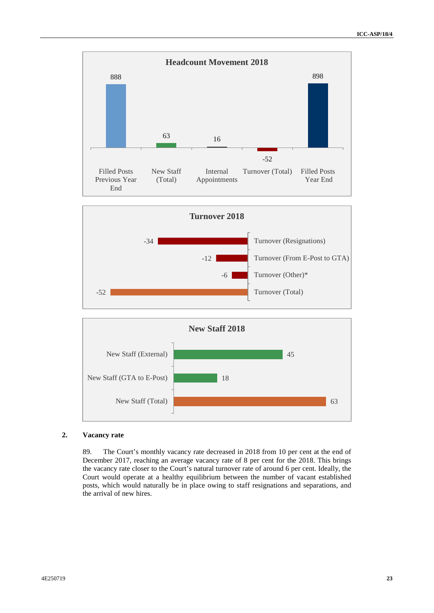





### **2. Vacancy rate**

89. The Court's monthly vacancy rate decreased in 2018 from 10 per cent at the end of December 2017, reaching an average vacancy rate of 8 per cent for the 2018. This brings the vacancy rate closer to the Court's natural turnover rate of around 6 per cent. Ideally, the Court would operate at a healthy equilibrium between the number of vacant established posts, which would naturally be in place owing to staff resignations and separations, and the arrival of new hires.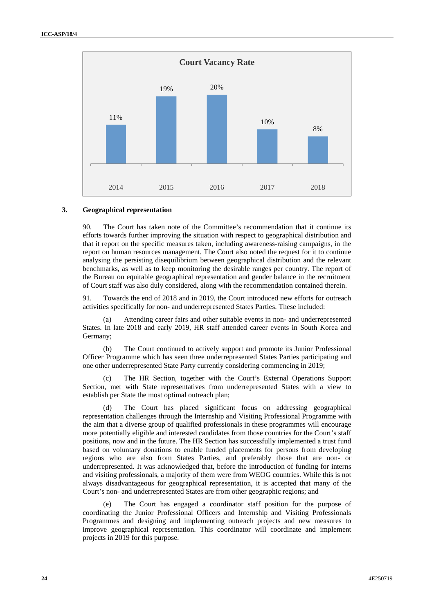

#### **3. Geographical representation**

90. The Court has taken note of the Committee's recommendation that it continue its efforts towards further improving the situation with respect to geographical distribution and that it report on the specific measures taken, including awareness-raising campaigns, in the report on human resources management. The Court also noted the request for it to continue analysing the persisting disequilibrium between geographical distribution and the relevant benchmarks, as well as to keep monitoring the desirable ranges per country. The report of the Bureau on equitable geographical representation and gender balance in the recruitment of Court staff was also duly considered, along with the recommendation contained therein.

91. Towards the end of 2018 and in 2019, the Court introduced new efforts for outreach activities specifically for non- and underrepresented States Parties. These included:

(a) Attending career fairs and other suitable events in non- and underrepresented States. In late 2018 and early 2019, HR staff attended career events in South Korea and Germany;

(b) The Court continued to actively support and promote its Junior Professional Officer Programme which has seen three underrepresented States Parties participating and one other underrepresented State Party currently considering commencing in 2019;

(c) The HR Section, together with the Court's External Operations Support Section, met with State representatives from underrepresented States with a view to establish per State the most optimal outreach plan;

The Court has placed significant focus on addressing geographical representation challenges through the Internship and Visiting Professional Programme with the aim that a diverse group of qualified professionals in these programmes will encourage more potentially eligible and interested candidates from those countries for the Court's staff positions, now and in the future. The HR Section has successfully implemented a trust fund based on voluntary donations to enable funded placements for persons from developing regions who are also from States Parties, and preferably those that are non- or underrepresented. It was acknowledged that, before the introduction of funding for interns and visiting professionals, a majority of them were from WEOG countries. While this is not always disadvantageous for geographical representation, it is accepted that many of the Court's non- and underrepresented States are from other geographic regions; and

The Court has engaged a coordinator staff position for the purpose of coordinating the Junior Professional Officers and Internship and Visiting Professionals Programmes and designing and implementing outreach projects and new measures to improve geographical representation. This coordinator will coordinate and implement projects in 2019 for this purpose.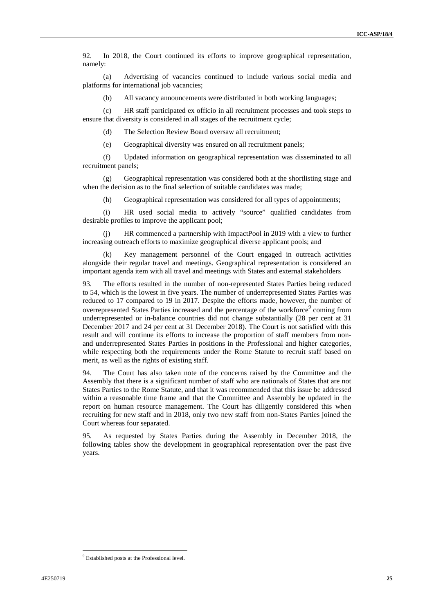92. In 2018, the Court continued its efforts to improve geographical representation, namely:

(a) Advertising of vacancies continued to include various social media and platforms for international job vacancies;

(b) All vacancy announcements were distributed in both working languages;

(c) HR staff participated ex officio in all recruitment processes and took steps to ensure that diversity is considered in all stages of the recruitment cycle;

(d) The Selection Review Board oversaw all recruitment;

(e) Geographical diversity was ensured on all recruitment panels;

(f) Updated information on geographical representation was disseminated to all recruitment panels;

(g) Geographical representation was considered both at the shortlisting stage and when the decision as to the final selection of suitable candidates was made;

(h) Geographical representation was considered for all types of appointments;

(i) HR used social media to actively "source" qualified candidates from desirable profiles to improve the applicant pool;

HR commenced a partnership with ImpactPool in 2019 with a view to further increasing outreach efforts to maximize geographical diverse applicant pools; and

(k) Key management personnel of the Court engaged in outreach activities alongside their regular travel and meetings. Geographical representation is considered an important agenda item with all travel and meetings with States and external stakeholders

93. The efforts resulted in the number of non-represented States Parties being reduced to 54, which is the lowest in five years. The number of underrepresented States Parties was reduced to 17 compared to 19 in 2017. Despite the efforts made, however, the number of overrepresented States Parties increased and the percentage of the workforce<sup>9</sup> coming from underrepresented or in-balance countries did not change substantially (28 per cent at 31 December 2017 and 24 per cent at 31 December 2018). The Court is not satisfied with this result and will continue its efforts to increase the proportion of staff members from non and underrepresented States Parties in positions in the Professional and higher categories, while respecting both the requirements under the Rome Statute to recruit staff based on merit, as well as the rights of existing staff.

94. The Court has also taken note of the concerns raised by the Committee and the Assembly that there is a significant number of staff who are nationals of States that are not States Parties to the Rome Statute, and that it was recommended that this issue be addressed within a reasonable time frame and that the Committee and Assembly be updated in the report on human resource management. The Court has diligently considered this when recruiting for new staff and in 2018, only two new staff from non-States Parties joined the Court whereas four separated.

95. As requested by States Parties during the Assembly in December 2018, the following tables show the development in geographical representation over the past five years.

<sup>&</sup>lt;sup>9</sup> Established posts at the Professional level.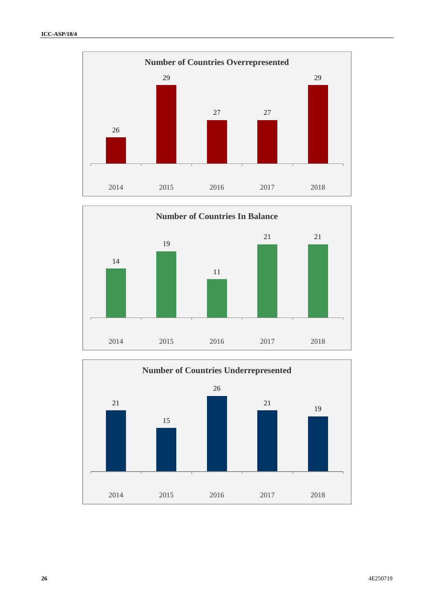



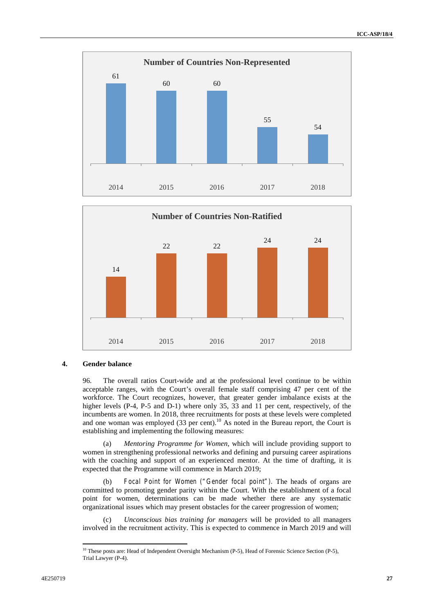



### **4. Gender balance**

96. The overall ratios Court-wide and at the professional level continue to be within acceptable ranges, with the Court's overall female staff comprising 47 per cent of the workforce. The Court recognizes, however, that greater gender imbalance exists at the higher levels (P-4, P-5 and D-1) where only 35, 33 and 11 per cent, respectively, of the incumbents are women. In 2018, three recruitments for posts at these levels were completed and one woman was employed  $(33 \text{ per cent})$ .<sup>10</sup> As noted in the Bureau report, the Court is establishing and implementing the following measures:

(a) *Mentoring Programme for Women*, which will include providing support to women in strengthening professional networks and defining and pursuing career aspirations with the coaching and support of an experienced mentor. At the time of drafting, it is expected that the Programme will commence in March 2019;

(b) *Focal Point for Women ("Gender focal point").* The heads of organs are committed to promoting gender parity within the Court. With the establishment of a focal point for women, determinations can be made whether there are any systematic organizational issues which may present obstacles for the career progression of women;

(c) *Unconscious bias training for managers* will be provided to all managers involved in the recruitment activity. This is expected to commence in March 2019 and will

<sup>&</sup>lt;sup>10</sup> These posts are: Head of Independent Oversight Mechanism (P-5), Head of Forensic Science Section (P-5), Trial Lawyer (P-4).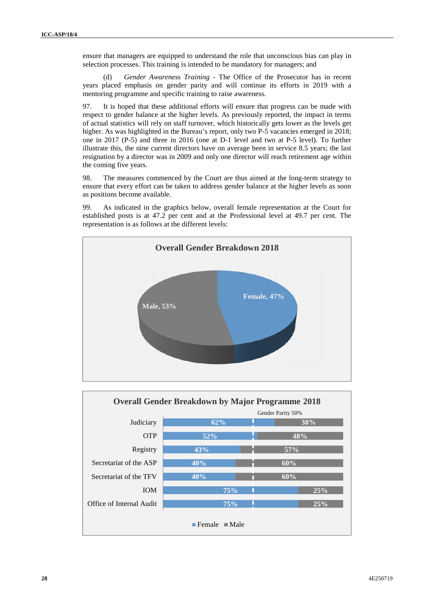ensure that managers are equipped to understand the role that unconscious bias can play in selection processes. This training is intended to be mandatory for managers; and

(d) *Gender Awareness Training -* The Office of the Prosecutor has in recent years placed emphasis on gender parity and will continue its efforts in 2019 with a mentoring programme and specific training to raise awareness.

97. It is hoped that these additional efforts will ensure that progress can be made with respect to gender balance at the higher levels. As previously reported, the impact in terms of actual statistics will rely on staff turnover, which historically gets lower as the levels get higher. As was highlighted in the Bureau's report, only two P-5 vacancies emerged in 2018; one in 2017 (P-5) and three in 2016 (one at D-1 level and two at P-5 level). To further illustrate this, the nine current directors have on average been in service 8.5 years; the last resignation by a director was in 2009 and only one director will reach retirement age within the coming five years.

98. The measures commenced by the Court are thus aimed at the long-term strategy to ensure that every effort can be taken to address gender balance at the higher levels as soon as positions become available.

99. As indicated in the graphics below, overall female representation at the Court for established posts is at 47.2 per cent and at the Professional level at 49.7 per cent. The representation is as follows at the different levels:



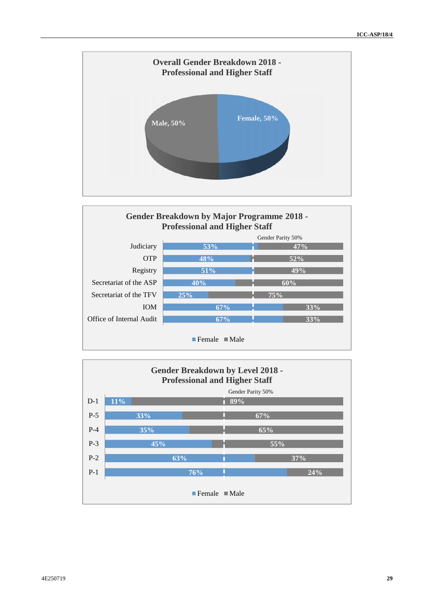



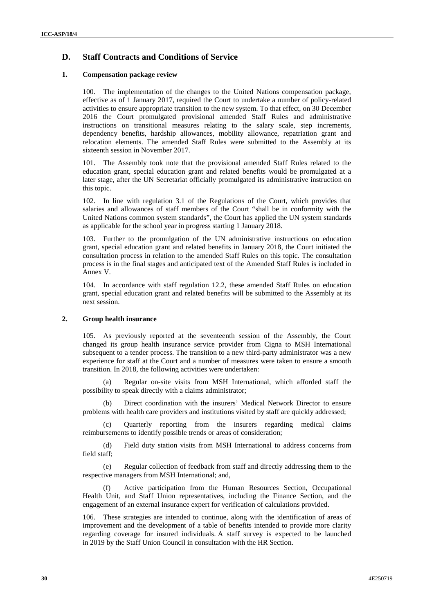### **D. Staff Contracts and Conditions of Service**

### **1. Compensation package review**

100. The implementation of the changes to the United Nations compensation package, effective as of 1 January 2017, required the Court to undertake a number of policy-related activities to ensure appropriate transition to the new system. To that effect, on 30 December 2016 the Court promulgated provisional amended Staff Rules and administrative instructions on transitional measures relating to the salary scale, step increments, dependency benefits, hardship allowances, mobility allowance, repatriation grant and relocation elements. The amended Staff Rules were submitted to the Assembly at its sixteenth session in November 2017.

101. The Assembly took note that the provisional amended Staff Rules related to the education grant, special education grant and related benefits would be promulgated at a later stage, after the UN Secretariat officially promulgated its administrative instruction on this topic.

102. In line with regulation 3.1 of the Regulations of the Court, which provides that salaries and allowances of staff members of the Court "shall be in conformity with the United Nations common system standards", the Court has applied the UN system standards as applicable for the school year in progress starting 1 January 2018.

103. Further to the promulgation of the UN administrative instructions on education grant, special education grant and related benefits in January 2018, the Court initiated the consultation process in relation to the amended Staff Rules on this topic. The consultation process is in the final stages and anticipated text of the Amended Staff Rules is included in Annex V.

104. In accordance with staff regulation 12.2, these amended Staff Rules on education grant, special education grant and related benefits will be submitted to the Assembly at its next session.

### **2. Group health insurance**

105. As previously reported at the seventeenth session of the Assembly, the Court changed its group health insurance service provider from Cigna to MSH International subsequent to a tender process. The transition to a new third-party administrator was a new experience for staff at the Court and a number of measures were taken to ensure a smooth transition. In 2018, the following activities were undertaken:

(a) Regular on-site visits from MSH International, which afforded staff the possibility to speak directly with a claims administrator;

(b) Direct coordination with the insurers' Medical Network Director to ensure problems with health care providers and institutions visited by staff are quickly addressed;

(c) Quarterly reporting from the insurers regarding medical claims reimbursements to identify possible trends or areas of consideration;

(d) Field duty station visits from MSH International to address concerns from field staff;

(e) Regular collection of feedback from staff and directly addressing them to the respective managers from MSH International; and,

Active participation from the Human Resources Section, Occupational Health Unit, and Staff Union representatives, including the Finance Section, and the engagement of an external insurance expert for verification of calculations provided.

106. These strategies are intended to continue, along with the identification of areas of improvement and the development of a table of benefits intended to provide more clarity regarding coverage for insured individuals. A staff survey is expected to be launched in 2019 by the Staff Union Council in consultation with the HR Section.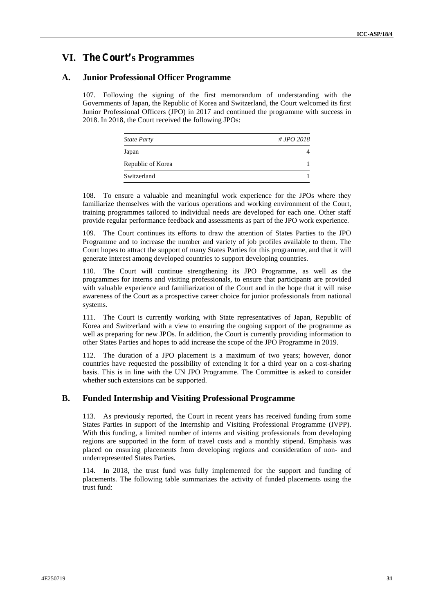# **VI. The Court's Programmes**

### **A. Junior Professional Officer Programme**

107. Following the signing of the first memorandum of understanding with the Governments of Japan, the Republic of Korea and Switzerland, the Court welcomed its first Junior Professional Officers (JPO) in 2017 and continued the programme with success in 2018. In 2018, the Court received the following JPOs:

| <b>State Party</b> | # JPO 2018 |
|--------------------|------------|
| Japan              |            |
| Republic of Korea  |            |
| Switzerland        |            |

108. To ensure a valuable and meaningful work experience for the JPOs where they familiarize themselves with the various operations and working environment of the Court, training programmes tailored to individual needs are developed for each one. Other staff provide regular performance feedback and assessments as part of the JPO work experience.

109. The Court continues its efforts to draw the attention of States Parties to the JPO Programme and to increase the number and variety of job profiles available to them. The Court hopes to attract the support of many States Parties for this programme, and that it will generate interest among developed countries to support developing countries.

110. The Court will continue strengthening its JPO Programme, as well as the programmes for interns and visiting professionals, to ensure that participants are provided with valuable experience and familiarization of the Court and in the hope that it will raise awareness of the Court as a prospective career choice for junior professionals from national systems.

111. The Court is currently working with State representatives of Japan, Republic of Korea and Switzerland with a view to ensuring the ongoing support of the programme as well as preparing for new JPOs. In addition, the Court is currently providing information to other States Parties and hopes to add increase the scope of the JPO Programme in 2019.

112. The duration of a JPO placement is a maximum of two years; however, donor countries have requested the possibility of extending it for a third year on a cost-sharing basis. This is in line with the UN JPO Programme. The Committee is asked to consider whether such extensions can be supported.

### **B. Funded Internship and Visiting Professional Programme**

113. As previously reported, the Court in recent years has received funding from some States Parties in support of the Internship and Visiting Professional Programme (IVPP). With this funding, a limited number of interns and visiting professionals from developing regions are supported in the form of travel costs and a monthly stipend. Emphasis was placed on ensuring placements from developing regions and consideration of non- and underrepresented States Parties.

114. In 2018, the trust fund was fully implemented for the support and funding of placements. The following table summarizes the activity of funded placements using the trust fund: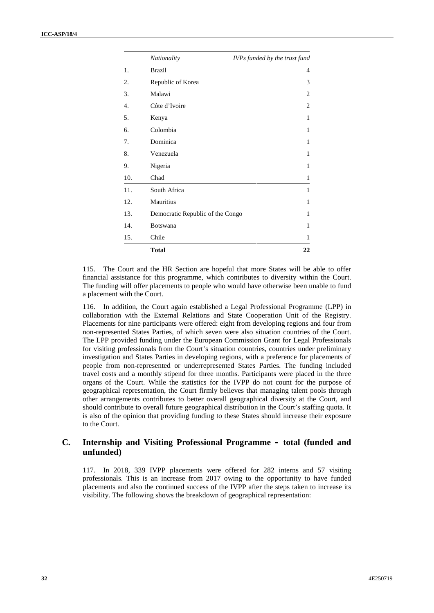|     | Nationality                      | IVPs funded by the trust fund |
|-----|----------------------------------|-------------------------------|
| 1.  | <b>Brazil</b>                    | 4                             |
| 2.  | Republic of Korea                | 3                             |
| 3.  | Malawi                           | $\overline{2}$                |
| 4.  | Côte d'Ivoire                    | $\overline{2}$                |
| 5.  | Kenya                            | 1                             |
| 6.  | Colombia                         | 1                             |
| 7.  | Dominica                         | 1                             |
| 8.  | Venezuela                        | 1                             |
| 9.  | Nigeria                          | 1                             |
| 10. | Chad                             | 1                             |
| 11. | South Africa                     | 1                             |
| 12. | Mauritius                        | 1                             |
| 13. | Democratic Republic of the Congo | 1                             |
| 14. | Botswana                         | 1                             |
| 15. | Chile                            | 1                             |
|     | <b>Total</b>                     | 22                            |

115. The Court and the HR Section are hopeful that more States will be able to offer financial assistance for this programme, which contributes to diversity within the Court. The funding will offer placements to people who would have otherwise been unable to fund a placement with the Court.

116. In addition, the Court again established a Legal Professional Programme (LPP) in collaboration with the External Relations and State Cooperation Unit of the Registry. Placements for nine participants were offered: eight from developing regions and four from non-represented States Parties, of which seven were also situation countries of the Court. The LPP provided funding under the European Commission Grant for Legal Professionals for visiting professionals from the Court's situation countries, countries under preliminary investigation and States Parties in developing regions, with a preference for placements of people from non-represented or underrepresented States Parties. The funding included travel costs and a monthly stipend for three months. Participants were placed in the three organs of the Court. While the statistics for the IVPP do not count for the purpose of geographical representation, the Court firmly believes that managing talent pools through other arrangements contributes to better overall geographical diversity at the Court, and should contribute to overall future geographical distribution in the Court's staffing quota. It is also of the opinion that providing funding to these States should increase their exposure to the Court.

### **C. Internship and Visiting Professional Programme – total (funded and unfunded)**

117. In 2018, 339 IVPP placements were offered for 282 interns and 57 visiting professionals. This is an increase from 2017 owing to the opportunity to have funded placements and also the continued success of the IVPP after the steps taken to increase its visibility. The following shows the breakdown of geographical representation: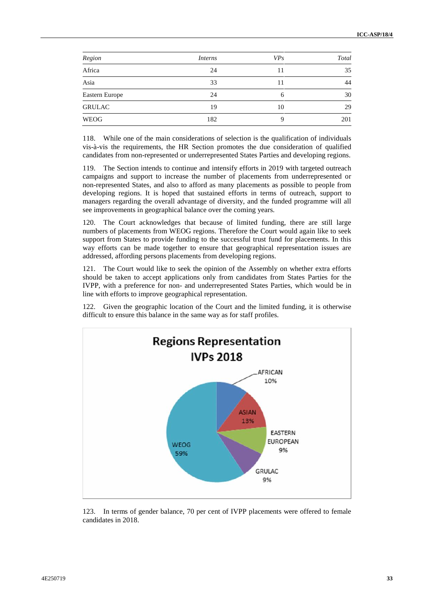| Region         | <i>Interns</i> | VP <sub>S</sub> | Total |
|----------------|----------------|-----------------|-------|
| Africa         | 24             | 11              | 35    |
| Asia           | 33             | 11              | 44    |
| Eastern Europe | 24             | 6               | 30    |
| <b>GRULAC</b>  | 19             | 10              | 29    |
| <b>WEOG</b>    | 182            | Q               | 201   |

118. While one of the main considerations of selection is the qualification of individuals vis-à-vis the requirements, the HR Section promotes the due consideration of qualified candidates from non-represented or underrepresented States Parties and developing regions.

119. The Section intends to continue and intensify efforts in 2019 with targeted outreach campaigns and support to increase the number of placements from underrepresented or non-represented States, and also to afford as many placements as possible to people from developing regions. It is hoped that sustained efforts in terms of outreach, support to managers regarding the overall advantage of diversity, and the funded programme will all see improvements in geographical balance over the coming years.

120. The Court acknowledges that because of limited funding, there are still large numbers of placements from WEOG regions. Therefore the Court would again like to seek support from States to provide funding to the successful trust fund for placements. In this way efforts can be made together to ensure that geographical representation issues are addressed, affording persons placements from developing regions.

121. The Court would like to seek the opinion of the Assembly on whether extra efforts should be taken to accept applications only from candidates from States Parties for the IVPP, with a preference for non- and underrepresented States Parties, which would be in line with efforts to improve geographical representation.

122. Given the geographic location of the Court and the limited funding, it is otherwise difficult to ensure this balance in the same way as for staff profiles.



123. In terms of gender balance, 70 per cent of IVPP placements were offered to female candidates in 2018.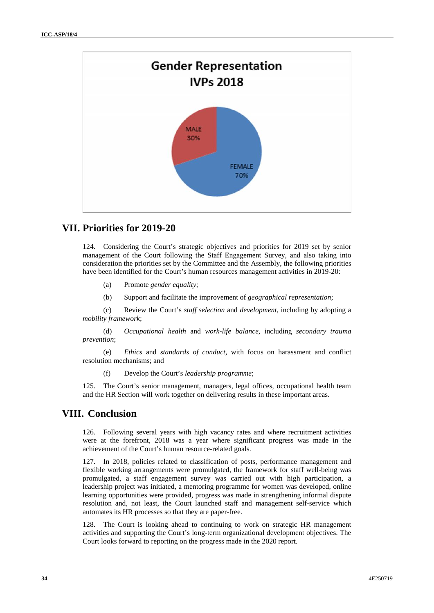

## **VII. Priorities for 2019-20**

124. Considering the Court's strategic objectives and priorities for 2019 set by senior management of the Court following the Staff Engagement Survey, and also taking into consideration the priorities set by the Committee and the Assembly, the following priorities have been identified for the Court's human resources management activities in 2019-20:

- (a) Promote *gender equality*;
- (b) Support and facilitate the improvement of *geographical representation*;

(c) Review the Court's *staff selection* and *development*, including by adopting a *mobility framework*;

(d) *Occupational health* and *work-life balance*, including *secondary trauma prevention*;

(e) *Ethics* and *standards of conduct*, with focus on harassment and conflict resolution mechanisms; and

(f) Develop the Court's *leadership programme*;

125. The Court's senior management, managers, legal offices, occupational health team and the HR Section will work together on delivering results in these important areas.

# **VIII. Conclusion**

126. Following several years with high vacancy rates and where recruitment activities were at the forefront, 2018 was a year where significant progress was made in the achievement of the Court's human resource-related goals.

127. In 2018, policies related to classification of posts, performance management and flexible working arrangements were promulgated, the framework for staff well-being was promulgated, a staff engagement survey was carried out with high participation, a leadership project was initiated, a mentoring programme for women was developed, online learning opportunities were provided, progress was made in strengthening informal dispute resolution and, not least, the Court launched staff and management self-service which automates its HR processes so that they are paper-free.

128. The Court is looking ahead to continuing to work on strategic HR management activities and supporting the Court's long-term organizational development objectives. The Court looks forward to reporting on the progress made in the 2020 report.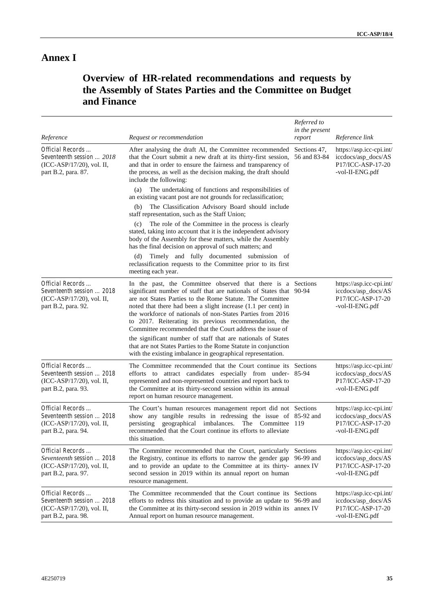# **Annex I**

# **Overview of HR-related recommendations and requests by the Assembly of States Parties and the Committee on Budget and Finance**

| Reference                                                                                         | Request or recommendation                                                                                                                                                                                                                                                                                                                                                                                                                             | Referred to<br>in the present<br>report | Reference link                                                                          |
|---------------------------------------------------------------------------------------------------|-------------------------------------------------------------------------------------------------------------------------------------------------------------------------------------------------------------------------------------------------------------------------------------------------------------------------------------------------------------------------------------------------------------------------------------------------------|-----------------------------------------|-----------------------------------------------------------------------------------------|
| Official Records<br>Seventeenth session  2018<br>(ICC-ASP/17/20), vol. II,<br>part B.2, para. 87. | After analysing the draft AI, the Committee recommended Sections 47,<br>that the Court submit a new draft at its thirty-first session, 56 and 83-84<br>and that in order to ensure the fairness and transparency of<br>the process, as well as the decision making, the draft should<br>include the following:<br>The undertaking of functions and responsibilities of<br>(a)                                                                         |                                         | https://asp.icc-cpi.int/<br>iccdocs/asp_docs/AS<br>P17/ICC-ASP-17-20<br>-vol-II-ENG.pdf |
|                                                                                                   | an existing vacant post are not grounds for reclassification;<br>The Classification Advisory Board should include<br>(b)<br>staff representation, such as the Staff Union;                                                                                                                                                                                                                                                                            |                                         |                                                                                         |
|                                                                                                   | The role of the Committee in the process is clearly<br>(c)<br>stated, taking into account that it is the independent advisory<br>body of the Assembly for these matters, while the Assembly<br>has the final decision on approval of such matters; and                                                                                                                                                                                                |                                         |                                                                                         |
|                                                                                                   | Timely and fully documented submission of<br>(d)<br>reclassification requests to the Committee prior to its first<br>meeting each year.                                                                                                                                                                                                                                                                                                               |                                         |                                                                                         |
| Official Records<br>Seventeenth session  2018<br>(ICC-ASP/17/20), vol. II,<br>part B.2, para. 92. | In the past, the Committee observed that there is a Sections<br>significant number of staff that are nationals of States that 90-94<br>are not States Parties to the Rome Statute. The Committee<br>noted that there had been a slight increase (1.1 per cent) in<br>the workforce of nationals of non-States Parties from 2016<br>to 2017. Reiterating its previous recommendation, the<br>Committee recommended that the Court address the issue of |                                         | https://asp.icc-cpi.int/<br>iccdocs/asp_docs/AS<br>P17/ICC-ASP-17-20<br>-vol-II-ENG.pdf |
|                                                                                                   | the significant number of staff that are nationals of States<br>that are not States Parties to the Rome Statute in conjunction<br>with the existing imbalance in geographical representation.                                                                                                                                                                                                                                                         |                                         |                                                                                         |
| Official Records<br>Seventeenth session  2018<br>(ICC-ASP/17/20), vol. II,<br>part B.2, para. 93. | The Committee recommended that the Court continue its Sections<br>efforts to attract candidates especially from under-85-94<br>represented and non-represented countries and report back to<br>the Committee at its thirty-second session within its annual<br>report on human resource management.                                                                                                                                                   |                                         | https://asp.icc-cpi.int/<br>iccdocs/asp_docs/AS<br>P17/ICC-ASP-17-20<br>-vol-II-ENG.pdf |
| Official Records<br>Seventeenth session  2018<br>(ICC-ASP/17/20), vol. II,<br>part B.2, para. 94. | The Court's human resources management report did not Sections<br>show any tangible results in redressing the issue of 85-92 and<br>persisting geographical imbalances.<br>The Committee 119<br>recommended that the Court continue its efforts to alleviate<br>this situation.                                                                                                                                                                       |                                         | https://asp.icc-cpi.int/<br>iccdocs/asp_docs/AS<br>P17/ICC-ASP-17-20<br>-vol-II-ENG.pdf |
| Official Records<br>Seventeenth session  2018<br>(ICC-ASP/17/20), vol. II,<br>part B.2, para. 97. | The Committee recommended that the Court, particularly<br>the Registry, continue its efforts to narrow the gender gap<br>and to provide an update to the Committee at its thirty-<br>second session in 2019 within its annual report on human<br>resource management.                                                                                                                                                                                 | Sections<br>96-99 and<br>annex IV       | https://asp.icc-cpi.int/<br>iccdocs/asp_docs/AS<br>P17/ICC-ASP-17-20<br>-vol-II-ENG.pdf |
| Official Records<br>Seventeenth session  2018<br>(ICC-ASP/17/20), vol. II,<br>part B.2, para. 98. | The Committee recommended that the Court continue its Sections<br>efforts to redress this situation and to provide an update to 96-99 and<br>the Committee at its thirty-second session in 2019 within its annex IV<br>Annual report on human resource management.                                                                                                                                                                                    |                                         | https://asp.icc-cpi.int/<br>iccdocs/asp_docs/AS<br>P17/ICC-ASP-17-20<br>-vol-II-ENG.pdf |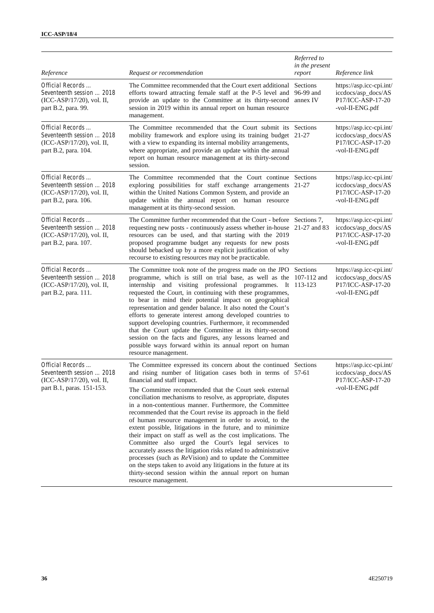| Reference                                                                                               | Request or recommendation                                                                                                                                                                                                                                                                                                                                                                                                                                                                                                                                                                                                                                                                                                                                                                                                                                                                                                                                | Referred to<br>in the present<br>report | Reference link                                                                          |
|---------------------------------------------------------------------------------------------------------|----------------------------------------------------------------------------------------------------------------------------------------------------------------------------------------------------------------------------------------------------------------------------------------------------------------------------------------------------------------------------------------------------------------------------------------------------------------------------------------------------------------------------------------------------------------------------------------------------------------------------------------------------------------------------------------------------------------------------------------------------------------------------------------------------------------------------------------------------------------------------------------------------------------------------------------------------------|-----------------------------------------|-----------------------------------------------------------------------------------------|
| Official Records<br>Seventeenth session  2018<br>(ICC-ASP/17/20), vol. II,<br>part B.2, para. 99.       | The Committee recommended that the Court exert additional<br>efforts toward attracting female staff at the P-5 level and 96-99 and<br>provide an update to the Committee at its thirty-second annex IV<br>session in 2019 within its annual report on human resource<br>management.                                                                                                                                                                                                                                                                                                                                                                                                                                                                                                                                                                                                                                                                      | Sections                                | https://asp.icc-cpi.int/<br>iccdocs/asp_docs/AS<br>P17/ICC-ASP-17-20<br>-vol-II-ENG.pdf |
| Official Records<br>Seventeenth session  2018<br>(ICC-ASP/17/20), vol. II,<br>part B.2, para. 104.      | The Committee recommended that the Court submit its Sections<br>mobility framework and explore using its training budget 21-27<br>with a view to expanding its internal mobility arrangements,<br>where appropriate, and provide an update within the annual<br>report on human resource management at its thirty-second<br>session.                                                                                                                                                                                                                                                                                                                                                                                                                                                                                                                                                                                                                     |                                         | https://asp.icc-cpi.int/<br>iccdocs/asp_docs/AS<br>P17/ICC-ASP-17-20<br>-vol-II-ENG.pdf |
| Official Records<br>Seventeenth session  2018<br>(ICC-ASP/17/20), vol. II,<br>part B.2, para. 106.      | The Committee recommended that the Court continue Sections<br>exploring possibilities for staff exchange arrangements 21-27<br>within the United Nations Common System, and provide an<br>update within the annual report on human resource<br>management at its thirty-second session.                                                                                                                                                                                                                                                                                                                                                                                                                                                                                                                                                                                                                                                                  |                                         | https://asp.icc-cpi.int/<br>iccdocs/asp_docs/AS<br>P17/ICC-ASP-17-20<br>-vol-II-ENG.pdf |
| Official Records<br>Seventeenth session  2018<br>(ICC-ASP/17/20), vol. II,<br>part B.2, para. 107.      | The Committee further recommended that the Court - before Sections 7,<br>requesting new posts - continuously assess whether in-house 21-27 and 83<br>resources can be used, and that starting with the 2019<br>proposed programme budget any requests for new posts<br>should bebacked up by a more explicit justification of why<br>recourse to existing resources may not be practicable.                                                                                                                                                                                                                                                                                                                                                                                                                                                                                                                                                              |                                         | https://asp.icc-cpi.int/<br>iccdocs/asp_docs/AS<br>P17/ICC-ASP-17-20<br>-vol-II-ENG.pdf |
| Official Records<br>Seventeenth session  2018<br>(ICC-ASP/17/20), vol. II,<br>part B.2, para. 111.      | The Committee took note of the progress made on the JPO Sections<br>programme, which is still on trial base, as well as the 107-112 and<br>internship and visiting professional programmes. It 113-123<br>requested the Court, in continuing with these programmes,<br>to bear in mind their potential impact on geographical<br>representation and gender balance. It also noted the Court's<br>efforts to generate interest among developed countries to<br>support developing countries. Furthermore, it recommended<br>that the Court update the Committee at its thirty-second<br>session on the facts and figures, any lessons learned and<br>possible ways forward within its annual report on human<br>resource management.                                                                                                                                                                                                                      |                                         | https://asp.icc-cpi.int/<br>iccdocs/asp_docs/AS<br>P17/ICC-ASP-17-20<br>-vol-II-ENG.pdf |
| Official Records<br>Seventeenth session  2018<br>(ICC-ASP/17/20), vol. II,<br>part B.1, paras. 151-153. | The Committee expressed its concern about the continued Sections<br>and rising number of litigation cases both in terms of 57-61<br>financial and staff impact.<br>The Committee recommended that the Court seek external<br>conciliation mechanisms to resolve, as appropriate, disputes<br>in a non-contentious manner. Furthermore, the Committee<br>recommended that the Court revise its approach in the field<br>of human resource management in order to avoid, to the<br>extent possible, litigations in the future, and to minimize<br>their impact on staff as well as the cost implications. The<br>Committee also urged the Court's legal services to<br>accurately assess the litigation risks related to administrative<br>processes (such as ReVision) and to update the Committee<br>on the steps taken to avoid any litigations in the future at its<br>thirty-second session within the annual report on human<br>resource management. |                                         | https://asp.icc-cpi.int/<br>iccdocs/asp_docs/AS<br>P17/ICC-ASP-17-20<br>-vol-II-ENG.pdf |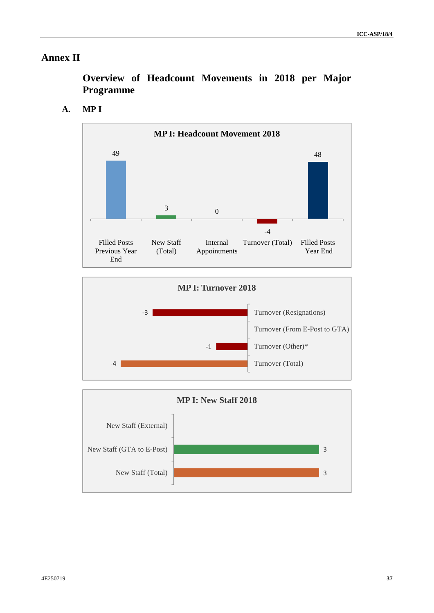# **Annex II**

**Overview of Headcount Movements in 2018 per Major Programme**

# **A. MP I**





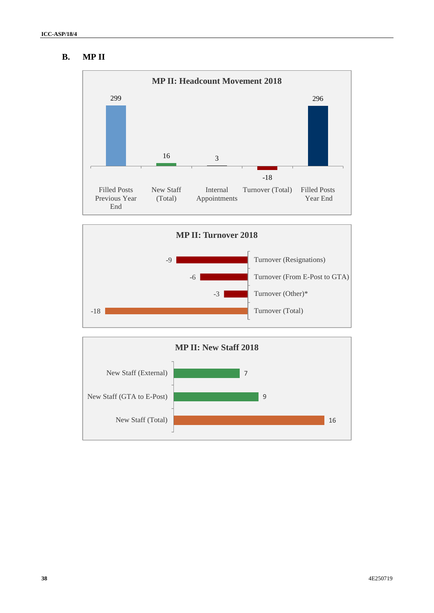# **B. MP II**





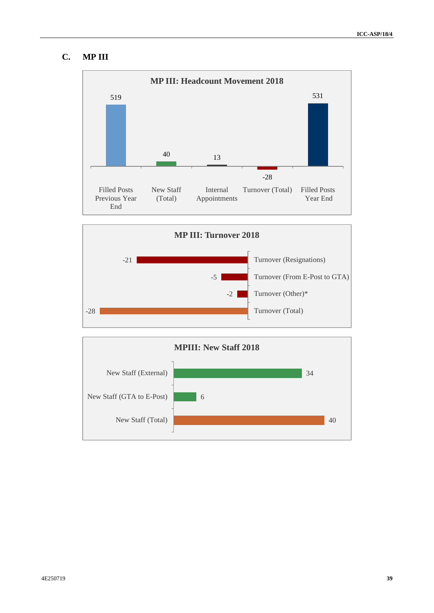## **C. MP III**





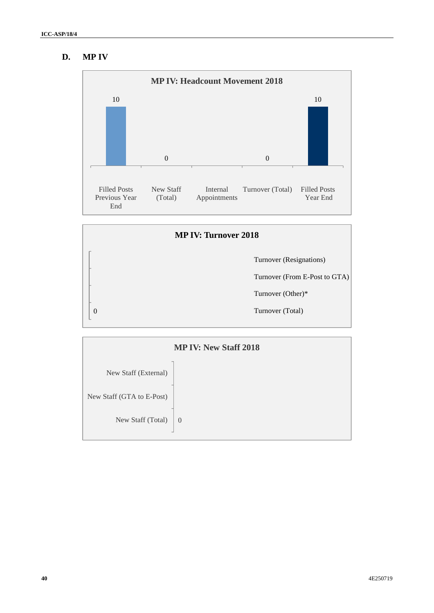# **D. MP IV**





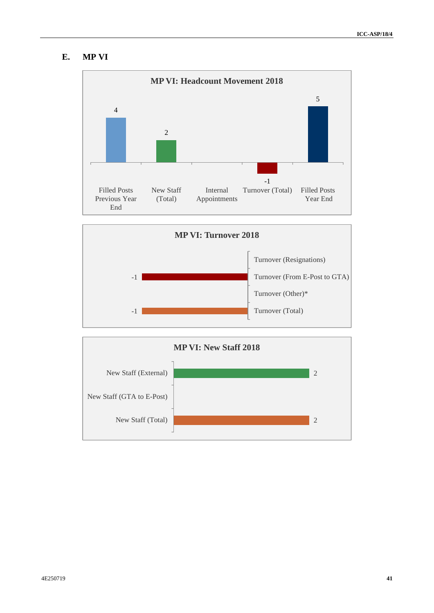## **E. MP VI**





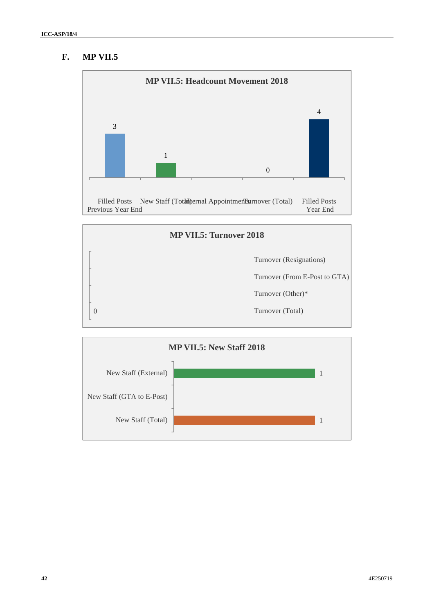## **F. MP VII.5**





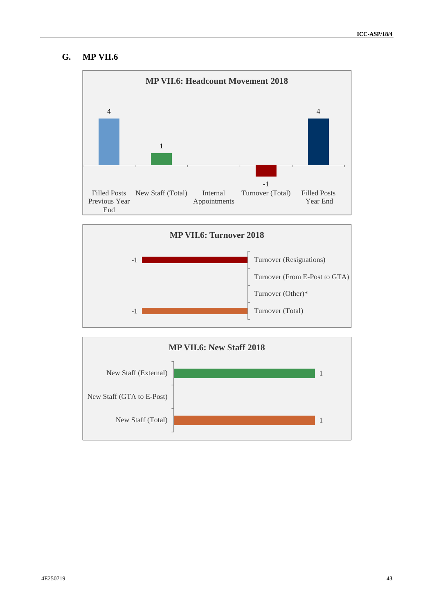## **G. MP VII.6**





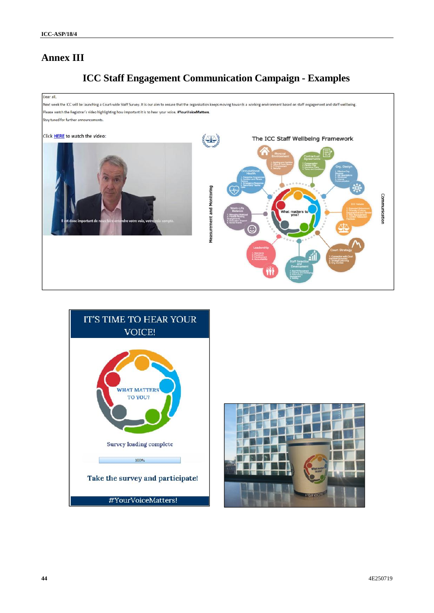# **Annex III**

# **ICC Staff Engagement Communication Campaign - Examples**





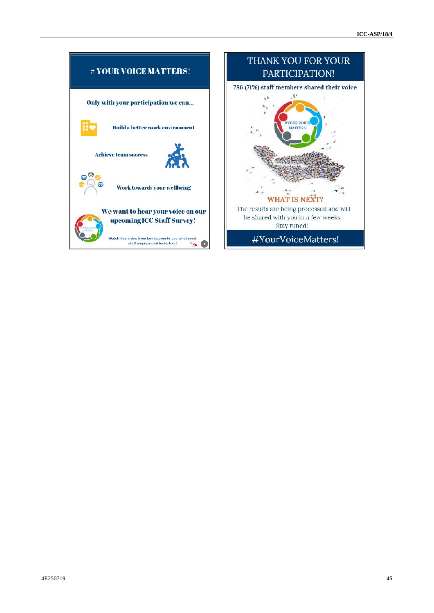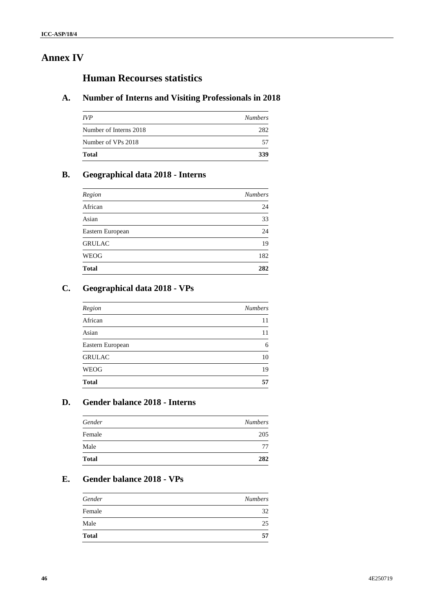# **Annex IV**

# **Human Recourses statistics**

# **A. Number of Interns and Visiting Professionals in 2018**

| <i><b>IVP</b></i>      | <b>Numbers</b> |
|------------------------|----------------|
| Number of Interns 2018 | 282            |
| Number of VPs 2018     | 57             |
| <b>Total</b>           | 339            |

# **B. Geographical data 2018 - Interns**

| Region           | <b>Numbers</b> |
|------------------|----------------|
| African          | 24             |
| Asian            | 33             |
| Eastern European | 24             |
| <b>GRULAC</b>    | 19             |
| <b>WEOG</b>      | 182            |
| <b>Total</b>     | 282            |
|                  |                |

# **C. Geographical data 2018 - VPs**

| Region           | <b>Numbers</b> |
|------------------|----------------|
| African          | 11             |
| Asian            | 11             |
| Eastern European | 6              |
| <b>GRULAC</b>    | 10             |
| WEOG             | 19             |
| <b>Total</b>     | 57             |

## **D. Gender balance 2018 - Interns**

| Gender       | <b>Numbers</b> |
|--------------|----------------|
| Female       | 205            |
| Male         | 77             |
| <b>Total</b> | 282            |
|              |                |

# **E. Gender balance 2018 - VPs**

| Gender       | <b>Numbers</b> |
|--------------|----------------|
| Female       | 32             |
| Male         | 25             |
| <b>Total</b> | 57             |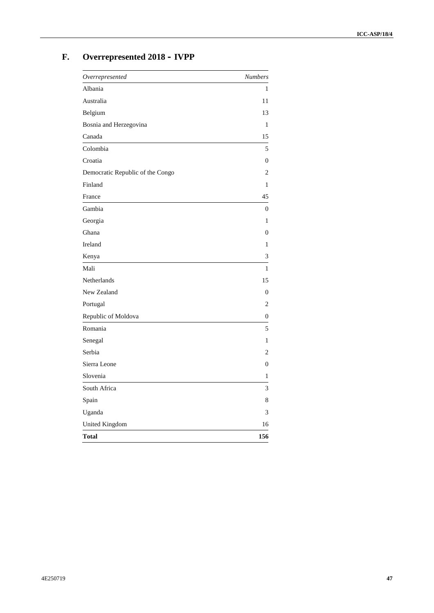# **F. Overrepresented 2018 – IVPP**

| Overrepresented                  | <b>Numbers</b> |
|----------------------------------|----------------|
| Albania                          | 1              |
| Australia                        | 11             |
| Belgium                          | 13             |
| Bosnia and Herzegovina           | 1              |
| Canada                           | 15             |
| Colombia                         | 5              |
| Croatia                          | $\overline{0}$ |
| Democratic Republic of the Congo | 2              |
| Finland                          | 1              |
| France                           | 45             |
| Gambia                           | $\overline{0}$ |
| Georgia                          | 1              |
| Ghana                            | $\mathbf{0}$   |
| Ireland                          | 1              |
| Kenya                            | $\mathfrak{Z}$ |
| Mali                             | 1              |
| Netherlands                      | 15             |
| New Zealand                      | $\overline{0}$ |
| Portugal                         | 2              |
| Republic of Moldova              | $\theta$       |
| Romania                          | 5              |
| Senegal                          | 1              |
| Serbia                           | $\overline{c}$ |
| Sierra Leone                     | $\theta$       |
| Slovenia                         | 1              |
| South Africa                     | 3              |
| Spain                            | 8              |
| Uganda                           | 3              |
| United Kingdom                   | 16             |
| <b>Total</b>                     | 156            |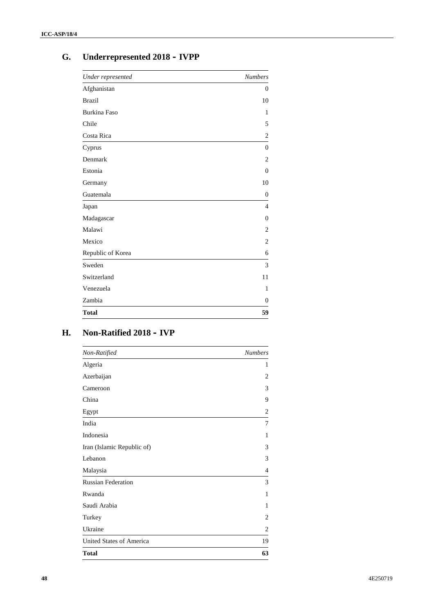# **G. Underrepresented 2018 – IVPP**

| Under represented   | <b>Numbers</b>           |
|---------------------|--------------------------|
| Afghanistan         | $\Omega$                 |
| <b>Brazil</b>       | 10                       |
| <b>Burkina Faso</b> | 1                        |
| Chile               | 5                        |
| Costa Rica          | $\mathfrak{2}$           |
| Cyprus              | $\theta$                 |
| Denmark             | $\overline{2}$           |
| Estonia             | $\mathbf{0}$             |
| Germany             | 10                       |
| Guatemala           | $\Omega$                 |
| Japan               | $\overline{\mathcal{A}}$ |
| Madagascar          | $\Omega$                 |
| Malawi              | $\overline{c}$           |
| Mexico              | $\overline{2}$           |
| Republic of Korea   | 6                        |
| Sweden              | 3                        |
| Switzerland         | 11                       |
| Venezuela           | $\mathbf{1}$             |
| Zambia              | $\Omega$                 |
| <b>Total</b>        | 59                       |

# **H. Non-Ratified 2018 – IVP**

| Non-Ratified               | <b>Numbers</b> |
|----------------------------|----------------|
| Algeria                    | 1              |
| Azerbaijan                 | 2              |
| Cameroon                   | 3              |
| China                      | 9              |
| Egypt                      | $\overline{2}$ |
| India                      | 7              |
| Indonesia                  | 1              |
| Iran (Islamic Republic of) | 3              |
| Lebanon                    | 3              |
| Malaysia                   | $\overline{4}$ |
| <b>Russian Federation</b>  | 3              |
| Rwanda                     | 1              |
| Saudi Arabia               | 1              |
| Turkey                     | 2              |
| Ukraine                    | 2              |
| United States of America   | 19             |
| <b>Total</b>               | 63             |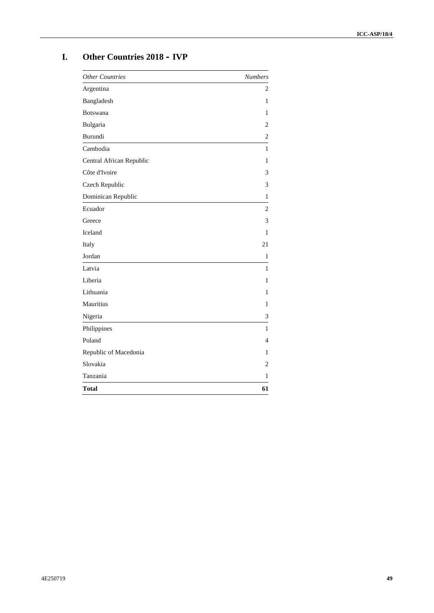# **I. Other Countries 2018 – IVP**

| <b>Other Countries</b>   | <b>Numbers</b> |
|--------------------------|----------------|
| Argentina                | $\overline{c}$ |
| Bangladesh               | 1              |
| <b>Botswana</b>          | 1              |
| Bulgaria                 | $\overline{2}$ |
| Burundi                  | 2              |
| Cambodia                 | 1              |
| Central African Republic | 1              |
| Côte d'Ivoire            | 3              |
| Czech Republic           | 3              |
| Dominican Republic       | 1              |
| Ecuador                  | $\overline{2}$ |
| Greece                   | 3              |
| Iceland                  | 1              |
| Italy                    | 21             |
| Jordan                   | 1              |
| Latvia                   | $\mathbf{1}$   |
| Liberia                  | 1              |
| Lithuania                | 1              |
| Mauritius                | $\mathbf{1}$   |
| Nigeria                  | $\mathfrak{Z}$ |
| Philippines              | 1              |
| Poland                   | $\overline{4}$ |
| Republic of Macedonia    | 1              |
| Slovakia                 | $\overline{c}$ |
| Tanzania                 | 1              |
| <b>Total</b>             | 61             |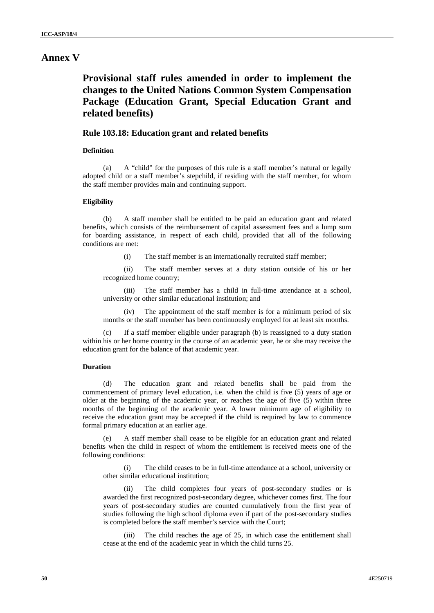# **Annex V**

**Provisional staff rules amended in order to implement the changes to the United Nations Common System Compensation Package (Education Grant, Special Education Grant and related benefits)**

### **Rule 103.18: Education grant and related benefits**

### **Definition**

(a) A "child" for the purposes of this rule is a staff member's natural or legally adopted child or a staff member's stepchild, if residing with the staff member, for whom the staff member provides main and continuing support.

#### **Eligibility**

(b) A staff member shall be entitled to be paid an education grant and related benefits, which consists of the reimbursement of capital assessment fees and a lump sum for boarding assistance, in respect of each child, provided that all of the following conditions are met:

(i) The staff member is an internationally recruited staff member;

(ii) The staff member serves at a duty station outside of his or her recognized home country;

(iii) The staff member has a child in full-time attendance at a school, university or other similar educational institution; and

(iv) The appointment of the staff member is for a minimum period of six months or the staff member has been continuously employed for at least six months.

(c) If a staff member eligible under paragraph (b) is reassigned to a duty station within his or her home country in the course of an academic year, he or she may receive the education grant for the balance of that academic year.

### **Duration**

(d) The education grant and related benefits shall be paid from the commencement of primary level education, i.e. when the child is five (5) years of age or older at the beginning of the academic year, or reaches the age of five (5) within three months of the beginning of the academic year. A lower minimum age of eligibility to receive the education grant may be accepted if the child is required by law to commence formal primary education at an earlier age.

A staff member shall cease to be eligible for an education grant and related benefits when the child in respect of whom the entitlement is received meets one of the following conditions:

(i) The child ceases to be in full-time attendance at a school, university or other similar educational institution;

(ii) The child completes four years of post-secondary studies or is awarded the first recognized post-secondary degree, whichever comes first. The four years of post-secondary studies are counted cumulatively from the first year of studies following the high school diploma even if part of the post-secondary studies is completed before the staff member's service with the Court;

(iii) The child reaches the age of 25, in which case the entitlement shall cease at the end of the academic year in which the child turns 25.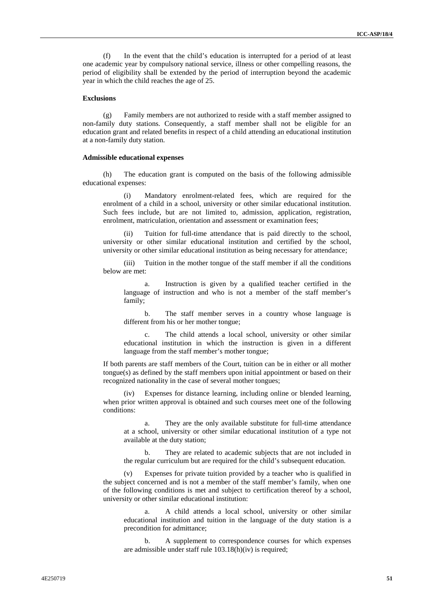(f) In the event that the child's education is interrupted for a period of at least one academic year by compulsory national service, illness or other compelling reasons, the period of eligibility shall be extended by the period of interruption beyond the academic year in which the child reaches the age of 25.

#### **Exclusions**

(g) Family members are not authorized to reside with a staff member assigned to non-family duty stations. Consequently, a staff member shall not be eligible for an education grant and related benefits in respect of a child attending an educational institution at a non-family duty station.

#### **Admissible educational expenses**

(h) The education grant is computed on the basis of the following admissible educational expenses:

(i) Mandatory enrolment-related fees, which are required for the enrolment of a child in a school, university or other similar educational institution. Such fees include, but are not limited to, admission, application, registration, enrolment, matriculation, orientation and assessment or examination fees;

(ii) Tuition for full-time attendance that is paid directly to the school, university or other similar educational institution and certified by the school, university or other similar educational institution as being necessary for attendance;

(iii) Tuition in the mother tongue of the staff member if all the conditions below are met:

a. Instruction is given by a qualified teacher certified in the language of instruction and who is not a member of the staff member's family;

b. The staff member serves in a country whose language is different from his or her mother tongue;

c. The child attends a local school, university or other similar educational institution in which the instruction is given in a different language from the staff member's mother tongue;

If both parents are staff members of the Court, tuition can be in either or all mother tongue(s) as defined by the staff members upon initial appointment or based on their recognized nationality in the case of several mother tongues;

(iv) Expenses for distance learning, including online or blended learning, when prior written approval is obtained and such courses meet one of the following conditions:

a. They are the only available substitute for full-time attendance at a school, university or other similar educational institution of a type not available at the duty station;

b. They are related to academic subjects that are not included in the regular curriculum but are required for the child's subsequent education.

(v) Expenses for private tuition provided by a teacher who is qualified in the subject concerned and is not a member of the staff member's family, when one of the following conditions is met and subject to certification thereof by a school, university or other similar educational institution:

a. A child attends a local school, university or other similar educational institution and tuition in the language of the duty station is a precondition for admittance;

b. A supplement to correspondence courses for which expenses are admissible under staff rule 103.18(h)(iv) is required;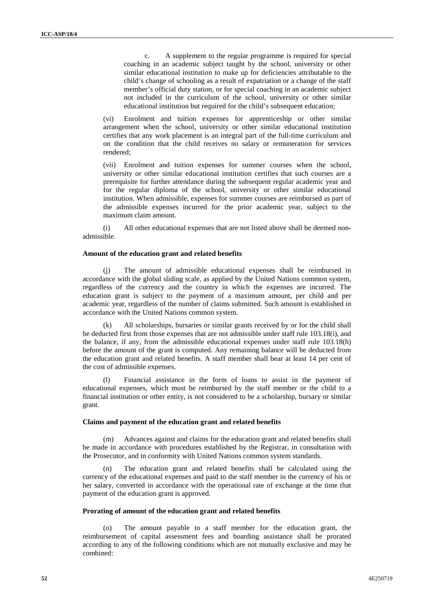c. A supplement to the regular programme is required for special coaching in an academic subject taught by the school, university or other similar educational institution to make up for deficiencies attributable to the child's change of schooling as a result of expatriation or a change of the staff member's official duty station, or for special coaching in an academic subject not included in the curriculum of the school, university or other similar educational institution but required for the child's subsequent education;

(vi) Enrolment and tuition expenses for apprenticeship or other similar arrangement when the school, university or other similar educational institution certifies that any work placement is an integral part of the full-time curriculum and on the condition that the child receives no salary or remuneration for services rendered;

(vii) Enrolment and tuition expenses for summer courses when the school, university or other similar educational institution certifies that such courses are a prerequisite for further attendance during the subsequent regular academic year and for the regular diploma of the school, university or other similar educational institution. When admissible, expenses for summer courses are reimbursed as part of the admissible expenses incurred for the prior academic year, subject to the maximum claim amount.

(i) All other educational expenses that are not listed above shall be deemed non admissible.

#### **Amount of the education grant and related benefits**

(j) The amount of admissible educational expenses shall be reimbursed in accordance with the global sliding scale, as applied by the United Nations common system, regardless of the currency and the country in which the expenses are incurred. The education grant is subject to the payment of a maximum amount, per child and per academic year, regardless of the number of claims submitted. Such amount is established in accordance with the United Nations common system.

All scholarships, bursaries or similar grants received by or for the child shall be deducted first from those expenses that are not admissible under staff rule 103.18(i), and the balance, if any, from the admissible educational expenses under staff rule 103.18(h) before the amount of the grant is computed. Any remaining balance will be deducted from the education grant and related benefits. A staff member shall bear at least 14 per cent of the cost of admissible expenses.

Financial assistance in the form of loans to assist in the payment of educational expenses, which must be reimbursed by the staff member or the child to a financial institution or other entity, is not considered to be a scholarship, bursary or similar grant.

#### **Claims and payment of the education grant and related benefits**

(m) Advances against and claims for the education grant and related benefits shall be made in accordance with procedures established by the Registrar, in consultation with the Prosecutor, and in conformity with United Nations common system standards.

The education grant and related benefits shall be calculated using the currency of the educational expenses and paid to the staff member in the currency of his or her salary, converted in accordance with the operational rate of exchange at the time that payment of the education grant is approved.

#### **Prorating of amount of the education grant and related benefits**

(o) The amount payable to a staff member for the education grant, the reimbursement of capital assessment fees and boarding assistance shall be prorated according to any of the following conditions which are not mutually exclusive and may be combined: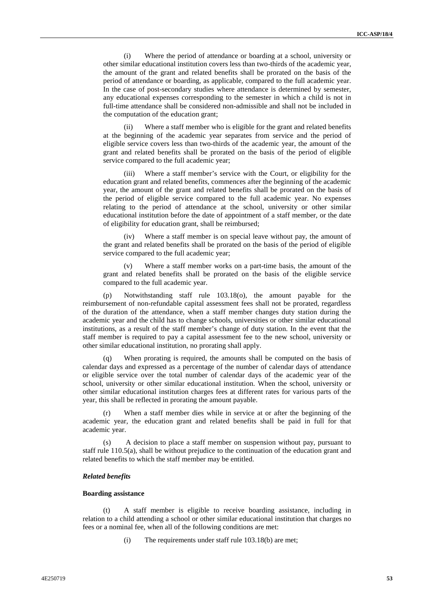(i) Where the period of attendance or boarding at a school, university or other similar educational institution covers less than two-thirds of the academic year, the amount of the grant and related benefits shall be prorated on the basis of the period of attendance or boarding, as applicable, compared to the full academic year. In the case of post-secondary studies where attendance is determined by semester, any educational expenses corresponding to the semester in which a child is not in full-time attendance shall be considered non-admissible and shall not be included in the computation of the education grant;

(ii) Where a staff member who is eligible for the grant and related benefits at the beginning of the academic year separates from service and the period of eligible service covers less than two-thirds of the academic year, the amount of the grant and related benefits shall be prorated on the basis of the period of eligible service compared to the full academic year;

(iii) Where a staff member's service with the Court, or eligibility for the education grant and related benefits, commences after the beginning of the academic year, the amount of the grant and related benefits shall be prorated on the basis of the period of eligible service compared to the full academic year. No expenses relating to the period of attendance at the school, university or other similar educational institution before the date of appointment of a staff member, or the date of eligibility for education grant, shall be reimbursed;

(iv) Where a staff member is on special leave without pay, the amount of the grant and related benefits shall be prorated on the basis of the period of eligible service compared to the full academic year;

(v) Where a staff member works on a part-time basis, the amount of the grant and related benefits shall be prorated on the basis of the eligible service compared to the full academic year.

(p) Notwithstanding staff rule 103.18(o), the amount payable for the reimbursement of non-refundable capital assessment fees shall not be prorated, regardless of the duration of the attendance, when a staff member changes duty station during the academic year and the child has to change schools, universities or other similar educational institutions, as a result of the staff member's change of duty station. In the event that the staff member is required to pay a capital assessment fee to the new school, university or other similar educational institution, no prorating shall apply.

When prorating is required, the amounts shall be computed on the basis of calendar days and expressed as a percentage of the number of calendar days of attendance or eligible service over the total number of calendar days of the academic year of the school, university or other similar educational institution. When the school, university or other similar educational institution charges fees at different rates for various parts of the year, this shall be reflected in prorating the amount payable.

(r) When a staff member dies while in service at or after the beginning of the academic year, the education grant and related benefits shall be paid in full for that academic year.

(s) A decision to place a staff member on suspension without pay, pursuant to staff rule 110.5(a), shall be without prejudice to the continuation of the education grant and related benefits to which the staff member may be entitled.

#### *Related benefits*

#### **Boarding assistance**

(t) A staff member is eligible to receive boarding assistance, including in relation to a child attending a school or other similar educational institution that charges no fees or a nominal fee, when all of the following conditions are met:

(i) The requirements under staff rule 103.18(b) are met;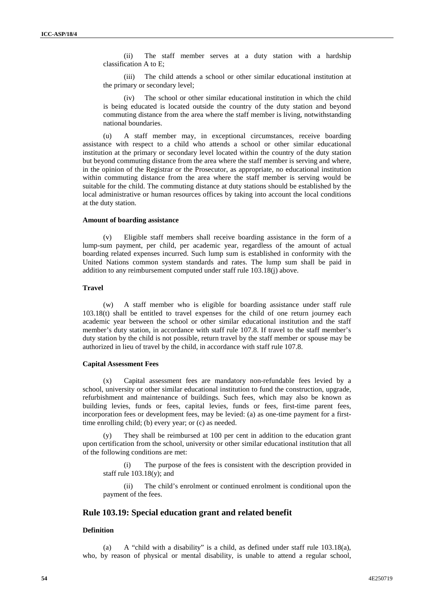(ii) The staff member serves at a duty station with a hardship classification A to E;

(iii) The child attends a school or other similar educational institution at the primary or secondary level;

(iv) The school or other similar educational institution in which the child is being educated is located outside the country of the duty station and beyond commuting distance from the area where the staff member is living, notwithstanding national boundaries.

(u) A staff member may, in exceptional circumstances, receive boarding assistance with respect to a child who attends a school or other similar educational institution at the primary or secondary level located within the country of the duty station but beyond commuting distance from the area where the staff member is serving and where, in the opinion of the Registrar or the Prosecutor, as appropriate, no educational institution within commuting distance from the area where the staff member is serving would be suitable for the child. The commuting distance at duty stations should be established by the local administrative or human resources offices by taking into account the local conditions at the duty station.

#### **Amount of boarding assistance**

(v) Eligible staff members shall receive boarding assistance in the form of a lump-sum payment, per child, per academic year, regardless of the amount of actual boarding related expenses incurred. Such lump sum is established in conformity with the United Nations common system standards and rates. The lump sum shall be paid in addition to any reimbursement computed under staff rule 103.18(j) above.

#### **Travel**

(w) A staff member who is eligible for boarding assistance under staff rule 103.18(t) shall be entitled to travel expenses for the child of one return journey each academic year between the school or other similar educational institution and the staff member's duty station, in accordance with staff rule 107.8. If travel to the staff member's duty station by the child is not possible, return travel by the staff member or spouse may be authorized in lieu of travel by the child, in accordance with staff rule 107.8.

### **Capital Assessment Fees**

(x) Capital assessment fees are mandatory non-refundable fees levied by a school, university or other similar educational institution to fund the construction, upgrade, refurbishment and maintenance of buildings. Such fees, which may also be known as building levies, funds or fees, capital levies, funds or fees, first-time parent fees, incorporation fees or development fees, may be levied: (a) as one-time payment for a firsttime enrolling child; (b) every year; or (c) as needed.

They shall be reimbursed at 100 per cent in addition to the education grant upon certification from the school, university or other similar educational institution that all of the following conditions are met:

(i) The purpose of the fees is consistent with the description provided in staff rule 103.18(y); and

(ii) The child's enrolment or continued enrolment is conditional upon the payment of the fees.

### **Rule 103.19: Special education grant and related benefit**

### **Definition**

(a) A "child with a disability" is a child, as defined under staff rule 103.18(a), who, by reason of physical or mental disability, is unable to attend a regular school,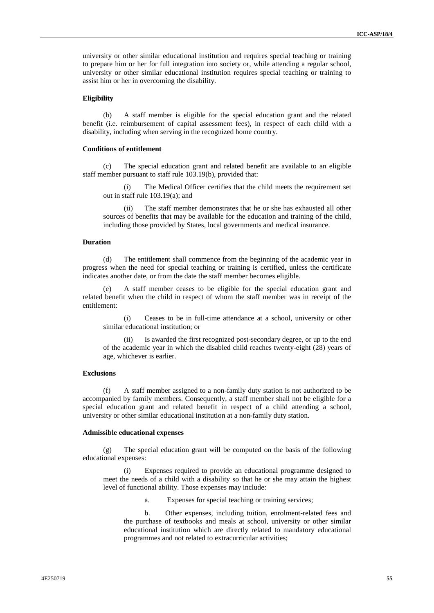university or other similar educational institution and requires special teaching or training to prepare him or her for full integration into society or, while attending a regular school, university or other similar educational institution requires special teaching or training to assist him or her in overcoming the disability.

#### **Eligibility**

(b) A staff member is eligible for the special education grant and the related benefit (i.e. reimbursement of capital assessment fees), in respect of each child with a disability, including when serving in the recognized home country.

### **Conditions of entitlement**

(c) The special education grant and related benefit are available to an eligible staff member pursuant to staff rule 103.19(b), provided that:

(i) The Medical Officer certifies that the child meets the requirement set out in staff rule 103.19(a); and

The staff member demonstrates that he or she has exhausted all other sources of benefits that may be available for the education and training of the child, including those provided by States, local governments and medical insurance.

### **Duration**

(d) The entitlement shall commence from the beginning of the academic year in progress when the need for special teaching or training is certified, unless the certificate indicates another date, or from the date the staff member becomes eligible.

A staff member ceases to be eligible for the special education grant and related benefit when the child in respect of whom the staff member was in receipt of the entitlement:

(i) Ceases to be in full-time attendance at a school, university or other similar educational institution; or

(ii) Is awarded the first recognized post-secondary degree, or up to the end of the academic year in which the disabled child reaches twenty-eight (28) years of age, whichever is earlier.

### **Exclusions**

(f) A staff member assigned to a non-family duty station is not authorized to be accompanied by family members. Consequently, a staff member shall not be eligible for a special education grant and related benefit in respect of a child attending a school, university or other similar educational institution at a non-family duty station.

#### **Admissible educational expenses**

(g) The special education grant will be computed on the basis of the following educational expenses:

(i) Expenses required to provide an educational programme designed to meet the needs of a child with a disability so that he or she may attain the highest level of functional ability. Those expenses may include:

a. Expenses for special teaching or training services;

b. Other expenses, including tuition, enrolment-related fees and the purchase of textbooks and meals at school, university or other similar educational institution which are directly related to mandatory educational programmes and not related to extracurricular activities;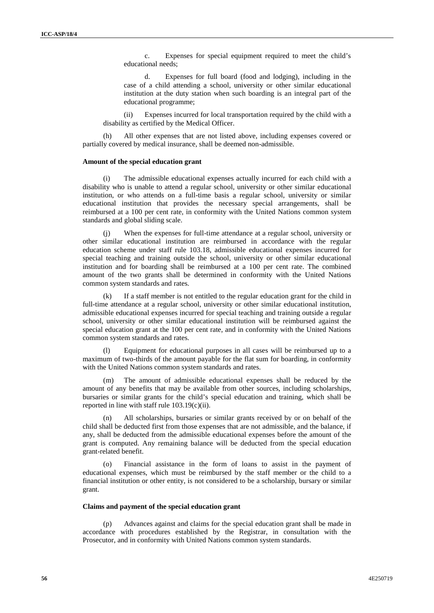c. Expenses for special equipment required to meet the child's educational needs;

d. Expenses for full board (food and lodging), including in the case of a child attending a school, university or other similar educational institution at the duty station when such boarding is an integral part of the educational programme;

(ii) Expenses incurred for local transportation required by the child with a disability as certified by the Medical Officer.

(h) All other expenses that are not listed above, including expenses covered or partially covered by medical insurance, shall be deemed non-admissible.

#### **Amount of the special education grant**

(i) The admissible educational expenses actually incurred for each child with a disability who is unable to attend a regular school, university or other similar educational institution, or who attends on a full-time basis a regular school, university or similar educational institution that provides the necessary special arrangements, shall be reimbursed at a 100 per cent rate, in conformity with the United Nations common system standards and global sliding scale.

(j) When the expenses for full-time attendance at a regular school, university or other similar educational institution are reimbursed in accordance with the regular education scheme under staff rule 103.18, admissible educational expenses incurred for special teaching and training outside the school, university or other similar educational institution and for boarding shall be reimbursed at a 100 per cent rate. The combined amount of the two grants shall be determined in conformity with the United Nations common system standards and rates.

(k) If a staff member is not entitled to the regular education grant for the child in full-time attendance at a regular school, university or other similar educational institution, admissible educational expenses incurred for special teaching and training outside a regular school, university or other similar educational institution will be reimbursed against the special education grant at the 100 per cent rate, and in conformity with the United Nations common system standards and rates.

Equipment for educational purposes in all cases will be reimbursed up to a maximum of two-thirds of the amount payable for the flat sum for boarding, in conformity with the United Nations common system standards and rates.

(m) The amount of admissible educational expenses shall be reduced by the amount of any benefits that may be available from other sources, including scholarships, bursaries or similar grants for the child's special education and training, which shall be reported in line with staff rule 103.19(c)(ii).

(n) All scholarships, bursaries or similar grants received by or on behalf of the child shall be deducted first from those expenses that are not admissible, and the balance, if any, shall be deducted from the admissible educational expenses before the amount of the grant is computed. Any remaining balance will be deducted from the special education grant-related benefit.

(o) Financial assistance in the form of loans to assist in the payment of educational expenses, which must be reimbursed by the staff member or the child to a financial institution or other entity, is not considered to be a scholarship, bursary or similar grant.

#### **Claims and payment of the special education grant**

(p) Advances against and claims for the special education grant shall be made in accordance with procedures established by the Registrar, in consultation with the Prosecutor, and in conformity with United Nations common system standards.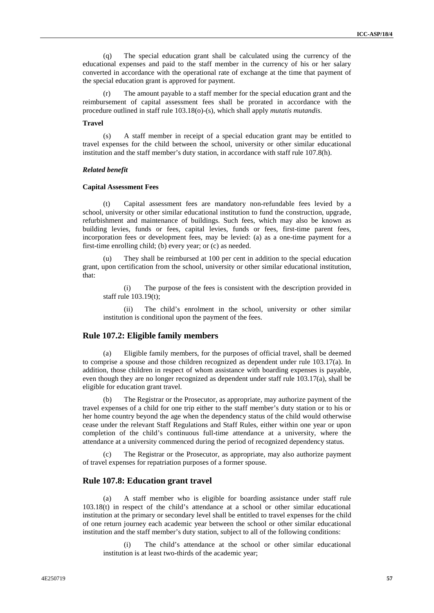(q) The special education grant shall be calculated using the currency of the educational expenses and paid to the staff member in the currency of his or her salary converted in accordance with the operational rate of exchange at the time that payment of the special education grant is approved for payment.

The amount payable to a staff member for the special education grant and the reimbursement of capital assessment fees shall be prorated in accordance with the procedure outlined in staff rule 103.18(o)-(s), which shall apply *mutatis mutandis*.

### **Travel**

(s) A staff member in receipt of a special education grant may be entitled to travel expenses for the child between the school, university or other similar educational institution and the staff member's duty station, in accordance with staff rule 107.8(h).

#### *Related benefit*

#### **Capital Assessment Fees**

Capital assessment fees are mandatory non-refundable fees levied by a school, university or other similar educational institution to fund the construction, upgrade, refurbishment and maintenance of buildings. Such fees, which may also be known as building levies, funds or fees, capital levies, funds or fees, first-time parent fees, incorporation fees or development fees, may be levied: (a) as a one-time payment for a first-time enrolling child; (b) every year; or (c) as needed.

(u) They shall be reimbursed at 100 per cent in addition to the special education grant, upon certification from the school, university or other similar educational institution, that:

(i) The purpose of the fees is consistent with the description provided in staff rule 103.19(t);

(ii) The child's enrolment in the school, university or other similar institution is conditional upon the payment of the fees.

### **Rule 107.2: Eligible family members**

Eligible family members, for the purposes of official travel, shall be deemed to comprise a spouse and those children recognized as dependent under rule 103.17(a). In addition, those children in respect of whom assistance with boarding expenses is payable, even though they are no longer recognized as dependent under staff rule 103.17(a), shall be eligible for education grant travel.

(b) The Registrar or the Prosecutor, as appropriate, may authorize payment of the travel expenses of a child for one trip either to the staff member's duty station or to his or her home country beyond the age when the dependency status of the child would otherwise cease under the relevant Staff Regulations and Staff Rules, either within one year or upon completion of the child's continuous full-time attendance at a university, where the attendance at a university commenced during the period of recognized dependency status.

The Registrar or the Prosecutor, as appropriate, may also authorize payment of travel expenses for repatriation purposes of a former spouse.

### **Rule 107.8: Education grant travel**

(a) A staff member who is eligible for boarding assistance under staff rule 103.18(t) in respect of the child's attendance at a school or other similar educational institution at the primary or secondary level shall be entitled to travel expenses for the child of one return journey each academic year between the school or other similar educational institution and the staff member's duty station, subject to all of the following conditions:

(i) The child's attendance at the school or other similar educational institution is at least two-thirds of the academic year;